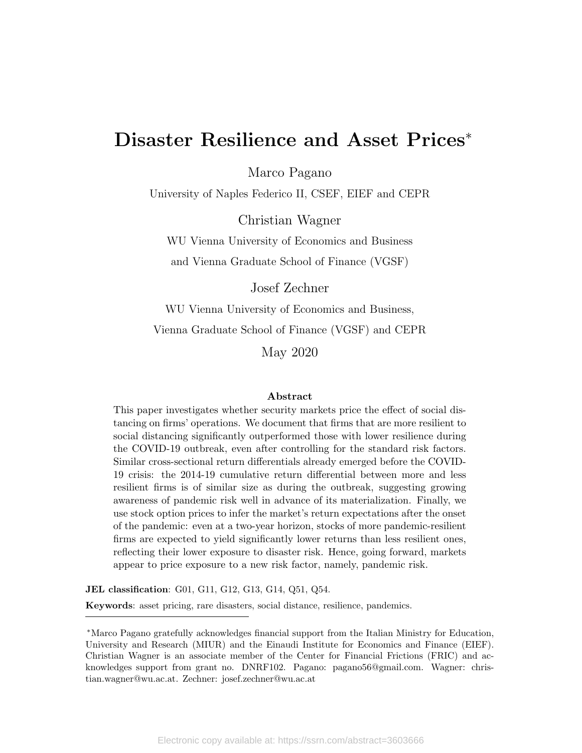# Disaster Resilience and Asset Prices<sup>∗</sup>

Marco Pagano

University of Naples Federico II, CSEF, EIEF and CEPR

Christian Wagner

WU Vienna University of Economics and Business and Vienna Graduate School of Finance (VGSF)

Josef Zechner

WU Vienna University of Economics and Business, Vienna Graduate School of Finance (VGSF) and CEPR

May 2020

#### Abstract

This paper investigates whether security markets price the effect of social distancing on firms' operations. We document that firms that are more resilient to social distancing significantly outperformed those with lower resilience during the COVID-19 outbreak, even after controlling for the standard risk factors. Similar cross-sectional return differentials already emerged before the COVID-19 crisis: the 2014-19 cumulative return differential between more and less resilient firms is of similar size as during the outbreak, suggesting growing awareness of pandemic risk well in advance of its materialization. Finally, we use stock option prices to infer the market's return expectations after the onset of the pandemic: even at a two-year horizon, stocks of more pandemic-resilient firms are expected to yield significantly lower returns than less resilient ones, reflecting their lower exposure to disaster risk. Hence, going forward, markets appear to price exposure to a new risk factor, namely, pandemic risk.

JEL classification: G01, G11, G12, G13, G14, Q51, Q54.

Keywords: asset pricing, rare disasters, social distance, resilience, pandemics.

<sup>∗</sup>Marco Pagano gratefully acknowledges financial support from the Italian Ministry for Education, University and Research (MIUR) and the Einaudi Institute for Economics and Finance (EIEF). Christian Wagner is an associate member of the Center for Financial Frictions (FRIC) and acknowledges support from grant no. DNRF102. Pagano: pagano56@gmail.com. Wagner: christian.wagner@wu.ac.at. Zechner: josef.zechner@wu.ac.at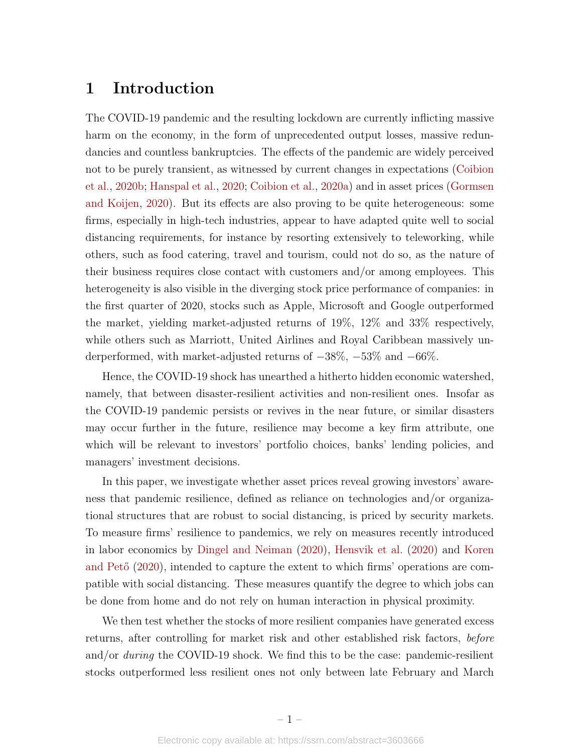## 1 Introduction

The COVID-19 pandemic and the resulting lockdown are currently inflicting massive harm on the economy, in the form of unprecedented output losses, massive redundancies and countless bankruptcies. The effects of the pandemic are widely perceived not to be purely transient, as witnessed by current changes in expectations [\(Coibion](#page-19-0) [et al.,](#page-19-0) [2020b;](#page-19-0) [Hanspal et al.,](#page-20-0) [2020;](#page-20-0) [Coibion et al.,](#page-19-1) [2020a\)](#page-19-1) and in asset prices [\(Gormsen](#page-20-1) [and Koijen,](#page-20-1) [2020\)](#page-20-1). But its effects are also proving to be quite heterogeneous: some firms, especially in high-tech industries, appear to have adapted quite well to social distancing requirements, for instance by resorting extensively to teleworking, while others, such as food catering, travel and tourism, could not do so, as the nature of their business requires close contact with customers and/or among employees. This heterogeneity is also visible in the diverging stock price performance of companies: in the first quarter of 2020, stocks such as Apple, Microsoft and Google outperformed the market, yielding market-adjusted returns of 19%, 12% and 33% respectively, while others such as Marriott, United Airlines and Royal Caribbean massively underperformed, with market-adjusted returns of −38%, −53% and −66%.

Hence, the COVID-19 shock has unearthed a hitherto hidden economic watershed, namely, that between disaster-resilient activities and non-resilient ones. Insofar as the COVID-19 pandemic persists or revives in the near future, or similar disasters may occur further in the future, resilience may become a key firm attribute, one which will be relevant to investors' portfolio choices, banks' lending policies, and managers' investment decisions.

In this paper, we investigate whether asset prices reveal growing investors' awareness that pandemic resilience, defined as reliance on technologies and/or organizational structures that are robust to social distancing, is priced by security markets. To measure firms' resilience to pandemics, we rely on measures recently introduced in labor economics by [Dingel and Neiman](#page-20-2) [\(2020\)](#page-20-2), [Hensvik et al.](#page-20-3) [\(2020\)](#page-20-3) and [Koren](#page-20-4) and  $Pet\ddot{o}$  [\(2020\)](#page-20-4), intended to capture the extent to which firms' operations are compatible with social distancing. These measures quantify the degree to which jobs can be done from home and do not rely on human interaction in physical proximity.

We then test whether the stocks of more resilient companies have generated excess returns, after controlling for market risk and other established risk factors, before and/or *during* the COVID-19 shock. We find this to be the case: pandemic-resilient stocks outperformed less resilient ones not only between late February and March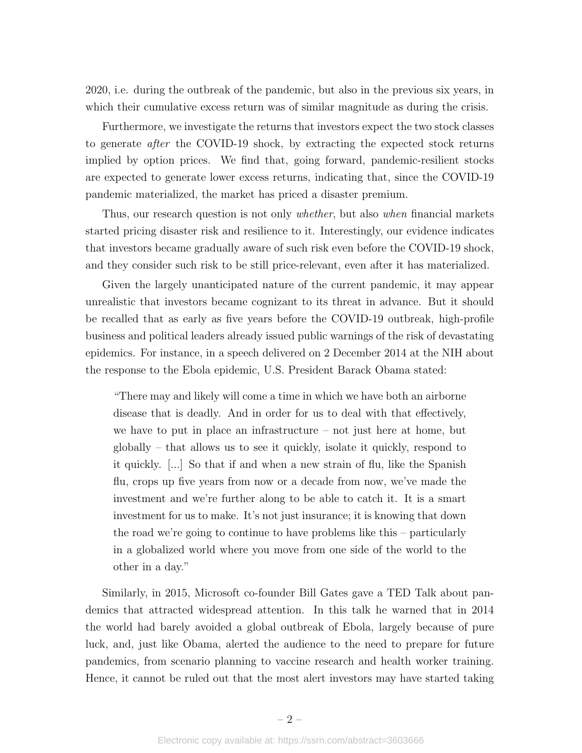2020, i.e. during the outbreak of the pandemic, but also in the previous six years, in which their cumulative excess return was of similar magnitude as during the crisis.

Furthermore, we investigate the returns that investors expect the two stock classes to generate after the COVID-19 shock, by extracting the expected stock returns implied by option prices. We find that, going forward, pandemic-resilient stocks are expected to generate lower excess returns, indicating that, since the COVID-19 pandemic materialized, the market has priced a disaster premium.

Thus, our research question is not only whether, but also when financial markets started pricing disaster risk and resilience to it. Interestingly, our evidence indicates that investors became gradually aware of such risk even before the COVID-19 shock, and they consider such risk to be still price-relevant, even after it has materialized.

Given the largely unanticipated nature of the current pandemic, it may appear unrealistic that investors became cognizant to its threat in advance. But it should be recalled that as early as five years before the COVID-19 outbreak, high-profile business and political leaders already issued public warnings of the risk of devastating epidemics. For instance, in a speech delivered on 2 December 2014 at the NIH about the response to the Ebola epidemic, U.S. President Barack Obama stated:

"There may and likely will come a time in which we have both an airborne disease that is deadly. And in order for us to deal with that effectively, we have to put in place an infrastructure – not just here at home, but globally – that allows us to see it quickly, isolate it quickly, respond to it quickly. [...] So that if and when a new strain of flu, like the Spanish flu, crops up five years from now or a decade from now, we've made the investment and we're further along to be able to catch it. It is a smart investment for us to make. It's not just insurance; it is knowing that down the road we're going to continue to have problems like this – particularly in a globalized world where you move from one side of the world to the other in a day."

Similarly, in 2015, Microsoft co-founder Bill Gates gave a TED Talk about pandemics that attracted widespread attention. In this talk he warned that in 2014 the world had barely avoided a global outbreak of Ebola, largely because of pure luck, and, just like Obama, alerted the audience to the need to prepare for future pandemics, from scenario planning to vaccine research and health worker training. Hence, it cannot be ruled out that the most alert investors may have started taking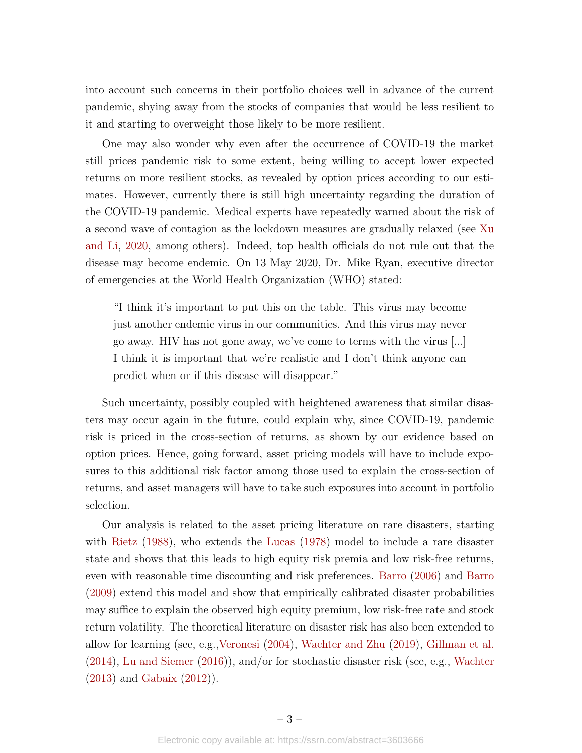into account such concerns in their portfolio choices well in advance of the current pandemic, shying away from the stocks of companies that would be less resilient to it and starting to overweight those likely to be more resilient.

One may also wonder why even after the occurrence of COVID-19 the market still prices pandemic risk to some extent, being willing to accept lower expected returns on more resilient stocks, as revealed by option prices according to our estimates. However, currently there is still high uncertainty regarding the duration of the COVID-19 pandemic. Medical experts have repeatedly warned about the risk of a second wave of contagion as the lockdown measures are gradually relaxed (see [Xu](#page-21-0) [and Li,](#page-21-0) [2020,](#page-21-0) among others). Indeed, top health officials do not rule out that the disease may become endemic. On 13 May 2020, Dr. Mike Ryan, executive director of emergencies at the World Health Organization (WHO) stated:

"I think it's important to put this on the table. This virus may become just another endemic virus in our communities. And this virus may never go away. HIV has not gone away, we've come to terms with the virus [...] I think it is important that we're realistic and I don't think anyone can predict when or if this disease will disappear."

Such uncertainty, possibly coupled with heightened awareness that similar disasters may occur again in the future, could explain why, since COVID-19, pandemic risk is priced in the cross-section of returns, as shown by our evidence based on option prices. Hence, going forward, asset pricing models will have to include exposures to this additional risk factor among those used to explain the cross-section of returns, and asset managers will have to take such exposures into account in portfolio selection.

Our analysis is related to the asset pricing literature on rare disasters, starting with [Rietz](#page-21-1) [\(1988\)](#page-21-1), who extends the [Lucas](#page-20-5) [\(1978\)](#page-20-5) model to include a rare disaster state and shows that this leads to high equity risk premia and low risk-free returns, even with reasonable time discounting and risk preferences. [Barro](#page-19-2) [\(2006\)](#page-19-2) and [Barro](#page-19-3) [\(2009\)](#page-19-3) extend this model and show that empirically calibrated disaster probabilities may suffice to explain the observed high equity premium, low risk-free rate and stock return volatility. The theoretical literature on disaster risk has also been extended to allow for learning (see, e.g.[,Veronesi](#page-21-2) [\(2004\)](#page-21-2), [Wachter and Zhu](#page-21-3) [\(2019\)](#page-21-3), [Gillman et al.](#page-20-6) [\(2014\)](#page-20-6), [Lu and Siemer](#page-20-7) [\(2016\)](#page-20-7)), and/or for stochastic disaster risk (see, e.g., [Wachter](#page-21-4) [\(2013\)](#page-21-4) and [Gabaix](#page-20-8) [\(2012\)](#page-20-8)).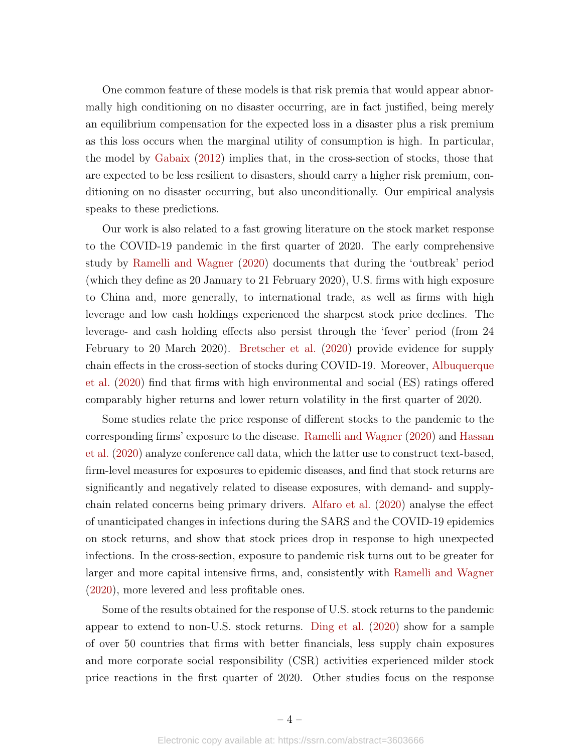One common feature of these models is that risk premia that would appear abnormally high conditioning on no disaster occurring, are in fact justified, being merely an equilibrium compensation for the expected loss in a disaster plus a risk premium as this loss occurs when the marginal utility of consumption is high. In particular, the model by [Gabaix](#page-20-8) [\(2012\)](#page-20-8) implies that, in the cross-section of stocks, those that are expected to be less resilient to disasters, should carry a higher risk premium, conditioning on no disaster occurring, but also unconditionally. Our empirical analysis speaks to these predictions.

Our work is also related to a fast growing literature on the stock market response to the COVID-19 pandemic in the first quarter of 2020. The early comprehensive study by [Ramelli and Wagner](#page-21-5) [\(2020\)](#page-21-5) documents that during the 'outbreak' period (which they define as 20 January to 21 February 2020), U.S. firms with high exposure to China and, more generally, to international trade, as well as firms with high leverage and low cash holdings experienced the sharpest stock price declines. The leverage- and cash holding effects also persist through the 'fever' period (from 24 February to 20 March 2020). [Bretscher et al.](#page-19-4) [\(2020\)](#page-19-4) provide evidence for supply chain effects in the cross-section of stocks during COVID-19. Moreover, [Albuquerque](#page-19-5) [et al.](#page-19-5) [\(2020\)](#page-19-5) find that firms with high environmental and social (ES) ratings offered comparably higher returns and lower return volatility in the first quarter of 2020.

Some studies relate the price response of different stocks to the pandemic to the corresponding firms' exposure to the disease. [Ramelli and Wagner](#page-21-5) [\(2020\)](#page-21-5) and [Hassan](#page-20-9) [et al.](#page-20-9) [\(2020\)](#page-20-9) analyze conference call data, which the latter use to construct text-based, firm-level measures for exposures to epidemic diseases, and find that stock returns are significantly and negatively related to disease exposures, with demand- and supplychain related concerns being primary drivers. [Alfaro et al.](#page-19-6) [\(2020\)](#page-19-6) analyse the effect of unanticipated changes in infections during the SARS and the COVID-19 epidemics on stock returns, and show that stock prices drop in response to high unexpected infections. In the cross-section, exposure to pandemic risk turns out to be greater for larger and more capital intensive firms, and, consistently with [Ramelli and Wagner](#page-21-5) [\(2020\)](#page-21-5), more levered and less profitable ones.

Some of the results obtained for the response of U.S. stock returns to the pandemic appear to extend to non-U.S. stock returns. [Ding et al.](#page-19-7) [\(2020\)](#page-19-7) show for a sample of over 50 countries that firms with better financials, less supply chain exposures and more corporate social responsibility (CSR) activities experienced milder stock price reactions in the first quarter of 2020. Other studies focus on the response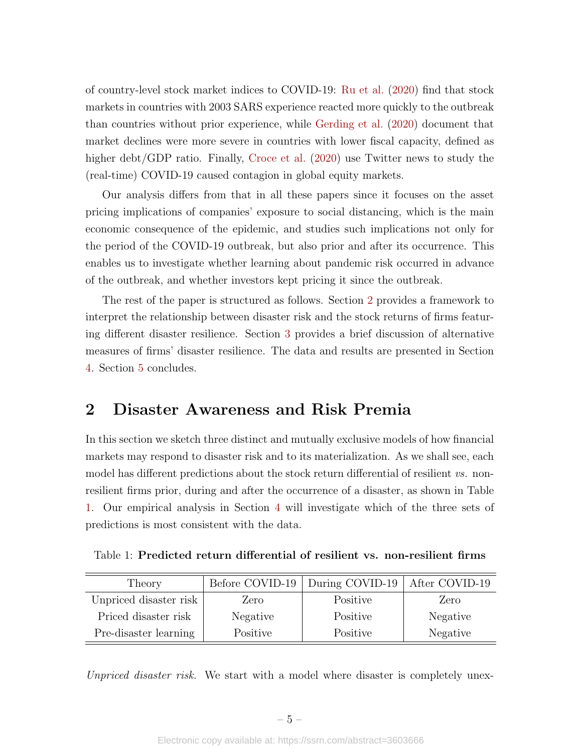of country-level stock market indices to COVID-19: [Ru et al.](#page-21-6) [\(2020\)](#page-21-6) find that stock markets in countries with 2003 SARS experience reacted more quickly to the outbreak than countries without prior experience, while [Gerding et al.](#page-20-10) [\(2020\)](#page-20-10) document that market declines were more severe in countries with lower fiscal capacity, defined as higher debt/GDP ratio. Finally, [Croce et al.](#page-19-8) [\(2020\)](#page-19-8) use Twitter news to study the (real-time) COVID-19 caused contagion in global equity markets.

Our analysis differs from that in all these papers since it focuses on the asset pricing implications of companies' exposure to social distancing, which is the main economic consequence of the epidemic, and studies such implications not only for the period of the COVID-19 outbreak, but also prior and after its occurrence. This enables us to investigate whether learning about pandemic risk occurred in advance of the outbreak, and whether investors kept pricing it since the outbreak.

The rest of the paper is structured as follows. Section [2](#page-5-0) provides a framework to interpret the relationship between disaster risk and the stock returns of firms featuring different disaster resilience. Section [3](#page-7-0) provides a brief discussion of alternative measures of firms' disaster resilience. The data and results are presented in Section [4.](#page-9-0) Section [5](#page-17-0) concludes.

## <span id="page-5-0"></span>2 Disaster Awareness and Risk Premia

In this section we sketch three distinct and mutually exclusive models of how financial markets may respond to disaster risk and to its materialization. As we shall see, each model has different predictions about the stock return differential of resilient vs. nonresilient firms prior, during and after the occurrence of a disaster, as shown in Table [1.](#page-5-1) Our empirical analysis in Section [4](#page-9-0) will investigate which of the three sets of predictions is most consistent with the data.

<span id="page-5-1"></span>Table 1: Predicted return differential of resilient vs. non-resilient firms

| Theory                 |          | Before COVID-19   During COVID-19   After COVID-19 |          |
|------------------------|----------|----------------------------------------------------|----------|
| Unpriced disaster risk | Zero     | Positive                                           | Zero     |
| Priced disaster risk   | Negative | Positive                                           | Negative |
| Pre-disaster learning  | Positive | Positive                                           | Negative |

Unpriced disaster risk. We start with a model where disaster is completely unex-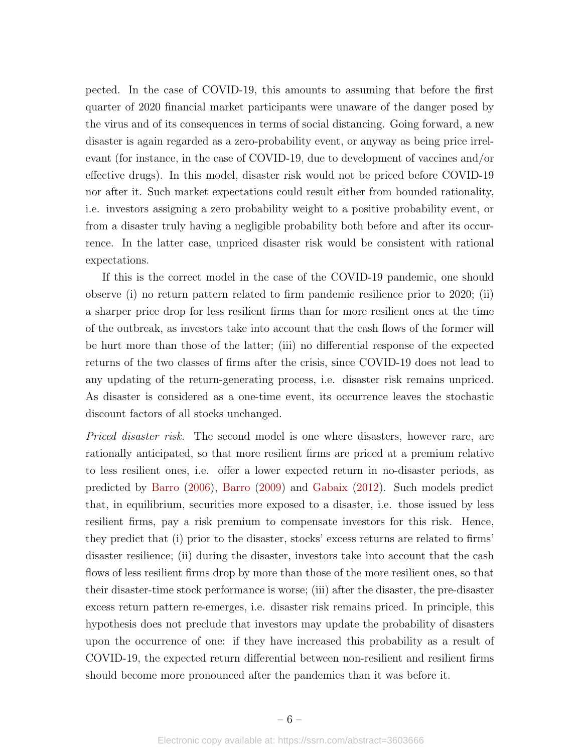pected. In the case of COVID-19, this amounts to assuming that before the first quarter of 2020 financial market participants were unaware of the danger posed by the virus and of its consequences in terms of social distancing. Going forward, a new disaster is again regarded as a zero-probability event, or anyway as being price irrelevant (for instance, in the case of COVID-19, due to development of vaccines and/or effective drugs). In this model, disaster risk would not be priced before COVID-19 nor after it. Such market expectations could result either from bounded rationality, i.e. investors assigning a zero probability weight to a positive probability event, or from a disaster truly having a negligible probability both before and after its occurrence. In the latter case, unpriced disaster risk would be consistent with rational expectations.

If this is the correct model in the case of the COVID-19 pandemic, one should observe (i) no return pattern related to firm pandemic resilience prior to 2020; (ii) a sharper price drop for less resilient firms than for more resilient ones at the time of the outbreak, as investors take into account that the cash flows of the former will be hurt more than those of the latter; (iii) no differential response of the expected returns of the two classes of firms after the crisis, since COVID-19 does not lead to any updating of the return-generating process, i.e. disaster risk remains unpriced. As disaster is considered as a one-time event, its occurrence leaves the stochastic discount factors of all stocks unchanged.

*Priced disaster risk.* The second model is one where disasters, however rare, are rationally anticipated, so that more resilient firms are priced at a premium relative to less resilient ones, i.e. offer a lower expected return in no-disaster periods, as predicted by [Barro](#page-19-2) [\(2006\)](#page-19-2), [Barro](#page-19-3) [\(2009\)](#page-19-3) and [Gabaix](#page-20-8) [\(2012\)](#page-20-8). Such models predict that, in equilibrium, securities more exposed to a disaster, i.e. those issued by less resilient firms, pay a risk premium to compensate investors for this risk. Hence, they predict that (i) prior to the disaster, stocks' excess returns are related to firms' disaster resilience; (ii) during the disaster, investors take into account that the cash flows of less resilient firms drop by more than those of the more resilient ones, so that their disaster-time stock performance is worse; (iii) after the disaster, the pre-disaster excess return pattern re-emerges, i.e. disaster risk remains priced. In principle, this hypothesis does not preclude that investors may update the probability of disasters upon the occurrence of one: if they have increased this probability as a result of COVID-19, the expected return differential between non-resilient and resilient firms should become more pronounced after the pandemics than it was before it.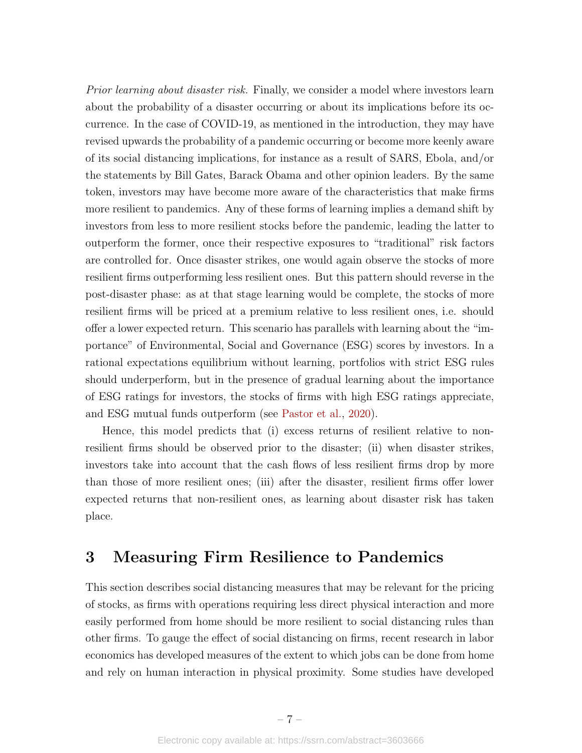Prior learning about disaster risk. Finally, we consider a model where investors learn about the probability of a disaster occurring or about its implications before its occurrence. In the case of COVID-19, as mentioned in the introduction, they may have revised upwards the probability of a pandemic occurring or become more keenly aware of its social distancing implications, for instance as a result of SARS, Ebola, and/or the statements by Bill Gates, Barack Obama and other opinion leaders. By the same token, investors may have become more aware of the characteristics that make firms more resilient to pandemics. Any of these forms of learning implies a demand shift by investors from less to more resilient stocks before the pandemic, leading the latter to outperform the former, once their respective exposures to "traditional" risk factors are controlled for. Once disaster strikes, one would again observe the stocks of more resilient firms outperforming less resilient ones. But this pattern should reverse in the post-disaster phase: as at that stage learning would be complete, the stocks of more resilient firms will be priced at a premium relative to less resilient ones, i.e. should offer a lower expected return. This scenario has parallels with learning about the "importance" of Environmental, Social and Governance (ESG) scores by investors. In a rational expectations equilibrium without learning, portfolios with strict ESG rules should underperform, but in the presence of gradual learning about the importance of ESG ratings for investors, the stocks of firms with high ESG ratings appreciate, and ESG mutual funds outperform (see [Pastor et al.,](#page-21-7) [2020\)](#page-21-7).

Hence, this model predicts that (i) excess returns of resilient relative to nonresilient firms should be observed prior to the disaster; (ii) when disaster strikes, investors take into account that the cash flows of less resilient firms drop by more than those of more resilient ones; (iii) after the disaster, resilient firms offer lower expected returns that non-resilient ones, as learning about disaster risk has taken place.

## <span id="page-7-0"></span>3 Measuring Firm Resilience to Pandemics

This section describes social distancing measures that may be relevant for the pricing of stocks, as firms with operations requiring less direct physical interaction and more easily performed from home should be more resilient to social distancing rules than other firms. To gauge the effect of social distancing on firms, recent research in labor economics has developed measures of the extent to which jobs can be done from home and rely on human interaction in physical proximity. Some studies have developed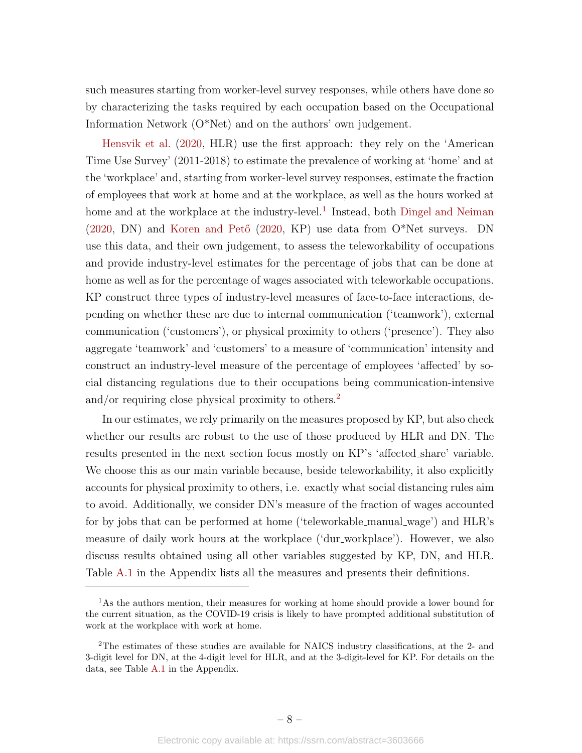such measures starting from worker-level survey responses, while others have done so by characterizing the tasks required by each occupation based on the Occupational Information Network (O\*Net) and on the authors' own judgement.

[Hensvik et al.](#page-20-3) [\(2020,](#page-20-3) HLR) use the first approach: they rely on the 'American Time Use Survey' (2011-2018) to estimate the prevalence of working at 'home' and at the 'workplace' and, starting from worker-level survey responses, estimate the fraction of employees that work at home and at the workplace, as well as the hours worked at home and at the workplace at the industry-level.<sup>[1](#page-8-0)</sup> Instead, both [Dingel and Neiman](#page-20-2)  $(2020, DN)$  $(2020, DN)$  and Koren and Pető  $(2020, KP)$  use data from O\*Net surveys. DN use this data, and their own judgement, to assess the teleworkability of occupations and provide industry-level estimates for the percentage of jobs that can be done at home as well as for the percentage of wages associated with teleworkable occupations. KP construct three types of industry-level measures of face-to-face interactions, depending on whether these are due to internal communication ('teamwork'), external communication ('customers'), or physical proximity to others ('presence'). They also aggregate 'teamwork' and 'customers' to a measure of 'communication' intensity and construct an industry-level measure of the percentage of employees 'affected' by social distancing regulations due to their occupations being communication-intensive and/or requiring close physical proximity to others.<sup>[2](#page-8-1)</sup>

In our estimates, we rely primarily on the measures proposed by KP, but also check whether our results are robust to the use of those produced by HLR and DN. The results presented in the next section focus mostly on KP's 'affected share' variable. We choose this as our main variable because, beside teleworkability, it also explicitly accounts for physical proximity to others, i.e. exactly what social distancing rules aim to avoid. Additionally, we consider DN's measure of the fraction of wages accounted for by jobs that can be performed at home ('teleworkable manual wage') and HLR's measure of daily work hours at the workplace ('dur workplace'). However, we also discuss results obtained using all other variables suggested by KP, DN, and HLR. Table [A.1](#page-36-0) in the Appendix lists all the measures and presents their definitions.

<span id="page-8-0"></span><sup>&</sup>lt;sup>1</sup>As the authors mention, their measures for working at home should provide a lower bound for the current situation, as the COVID-19 crisis is likely to have prompted additional substitution of work at the workplace with work at home.

<span id="page-8-1"></span><sup>2</sup>The estimates of these studies are available for NAICS industry classifications, at the 2- and 3-digit level for DN, at the 4-digit level for HLR, and at the 3-digit-level for KP. For details on the data, see Table [A.1](#page-36-0) in the Appendix.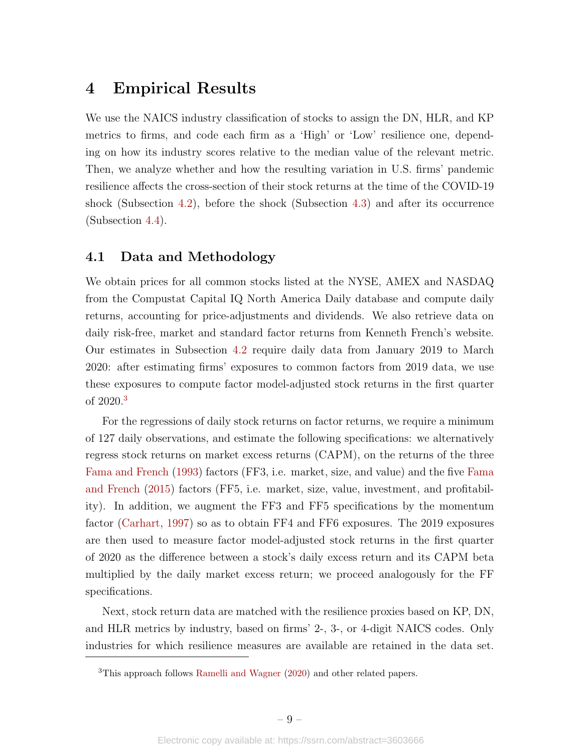## <span id="page-9-0"></span>4 Empirical Results

We use the NAICS industry classification of stocks to assign the DN, HLR, and KP metrics to firms, and code each firm as a 'High' or 'Low' resilience one, depending on how its industry scores relative to the median value of the relevant metric. Then, we analyze whether and how the resulting variation in U.S. firms' pandemic resilience affects the cross-section of their stock returns at the time of the COVID-19 shock (Subsection [4.2\)](#page-10-0), before the shock (Subsection [4.3\)](#page-13-0) and after its occurrence (Subsection [4.4\)](#page-14-0).

## <span id="page-9-2"></span>4.1 Data and Methodology

We obtain prices for all common stocks listed at the NYSE, AMEX and NASDAQ from the Compustat Capital IQ North America Daily database and compute daily returns, accounting for price-adjustments and dividends. We also retrieve data on daily risk-free, market and standard factor returns from Kenneth French's website. Our estimates in Subsection [4.2](#page-10-0) require daily data from January 2019 to March 2020: after estimating firms' exposures to common factors from 2019 data, we use these exposures to compute factor model-adjusted stock returns in the first quarter of 2020.[3](#page-9-1)

For the regressions of daily stock returns on factor returns, we require a minimum of 127 daily observations, and estimate the following specifications: we alternatively regress stock returns on market excess returns (CAPM), on the returns of the three [Fama and French](#page-20-11) [\(1993\)](#page-20-11) factors (FF3, i.e. market, size, and value) and the five [Fama](#page-20-12) [and French](#page-20-12) [\(2015\)](#page-20-12) factors (FF5, i.e. market, size, value, investment, and profitability). In addition, we augment the FF3 and FF5 specifications by the momentum factor [\(Carhart,](#page-19-9) [1997\)](#page-19-9) so as to obtain FF4 and FF6 exposures. The 2019 exposures are then used to measure factor model-adjusted stock returns in the first quarter of 2020 as the difference between a stock's daily excess return and its CAPM beta multiplied by the daily market excess return; we proceed analogously for the FF specifications.

Next, stock return data are matched with the resilience proxies based on KP, DN, and HLR metrics by industry, based on firms' 2-, 3-, or 4-digit NAICS codes. Only industries for which resilience measures are available are retained in the data set.

<span id="page-9-1"></span><sup>3</sup>This approach follows [Ramelli and Wagner](#page-21-5) [\(2020\)](#page-21-5) and other related papers.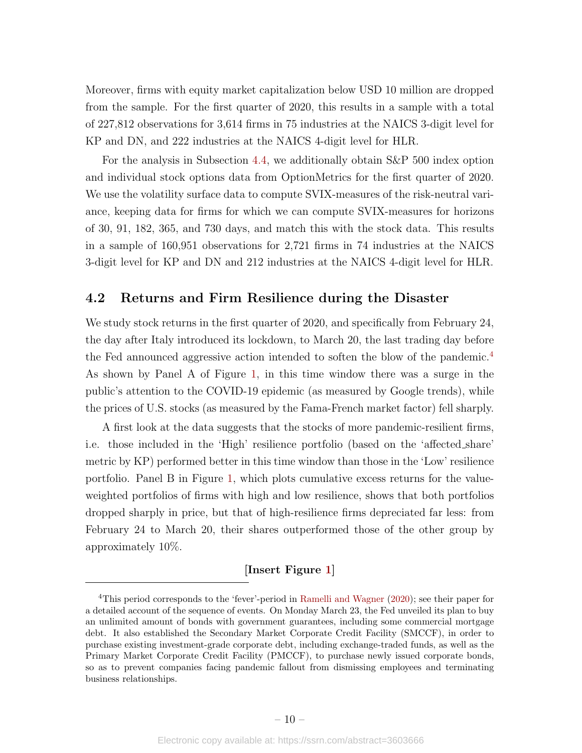Moreover, firms with equity market capitalization below USD 10 million are dropped from the sample. For the first quarter of 2020, this results in a sample with a total of 227,812 observations for 3,614 firms in 75 industries at the NAICS 3-digit level for KP and DN, and 222 industries at the NAICS 4-digit level for HLR.

For the analysis in Subsection [4.4,](#page-14-0) we additionally obtain S&P 500 index option and individual stock options data from OptionMetrics for the first quarter of 2020. We use the volatility surface data to compute SVIX-measures of the risk-neutral variance, keeping data for firms for which we can compute SVIX-measures for horizons of 30, 91, 182, 365, and 730 days, and match this with the stock data. This results in a sample of 160,951 observations for 2,721 firms in 74 industries at the NAICS 3-digit level for KP and DN and 212 industries at the NAICS 4-digit level for HLR.

### <span id="page-10-0"></span>4.2 Returns and Firm Resilience during the Disaster

We study stock returns in the first quarter of 2020, and specifically from February 24, the day after Italy introduced its lockdown, to March 20, the last trading day before the Fed announced aggressive action intended to soften the blow of the pandemic.[4](#page-10-1) As shown by Panel A of Figure [1,](#page-22-0) in this time window there was a surge in the public's attention to the COVID-19 epidemic (as measured by Google trends), while the prices of U.S. stocks (as measured by the Fama-French market factor) fell sharply.

A first look at the data suggests that the stocks of more pandemic-resilient firms, i.e. those included in the 'High' resilience portfolio (based on the 'affected share' metric by KP) performed better in this time window than those in the 'Low' resilience portfolio. Panel B in Figure [1,](#page-22-0) which plots cumulative excess returns for the valueweighted portfolios of firms with high and low resilience, shows that both portfolios dropped sharply in price, but that of high-resilience firms depreciated far less: from February 24 to March 20, their shares outperformed those of the other group by approximately 10%.

## [Insert Figure [1\]](#page-22-0)

<span id="page-10-1"></span><sup>4</sup>This period corresponds to the 'fever'-period in [Ramelli and Wagner](#page-21-5) [\(2020\)](#page-21-5); see their paper for a detailed account of the sequence of events. On Monday March 23, the Fed unveiled its plan to buy an unlimited amount of bonds with government guarantees, including some commercial mortgage debt. It also established the Secondary Market Corporate Credit Facility (SMCCF), in order to purchase existing investment-grade corporate debt, including exchange-traded funds, as well as the Primary Market Corporate Credit Facility (PMCCF), to purchase newly issued corporate bonds, so as to prevent companies facing pandemic fallout from dismissing employees and terminating business relationships.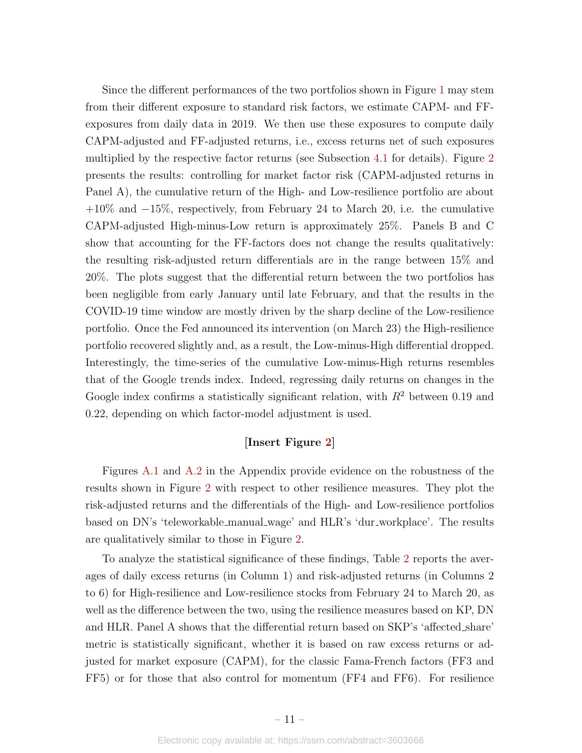Since the different performances of the two portfolios shown in Figure [1](#page-22-0) may stem from their different exposure to standard risk factors, we estimate CAPM- and FFexposures from daily data in 2019. We then use these exposures to compute daily CAPM-adjusted and FF-adjusted returns, i.e., excess returns net of such exposures multiplied by the respective factor returns (see Subsection [4.1](#page-9-2) for details). Figure [2](#page-23-0) presents the results: controlling for market factor risk (CAPM-adjusted returns in Panel A), the cumulative return of the High- and Low-resilience portfolio are about +10% and −15%, respectively, from February 24 to March 20, i.e. the cumulative CAPM-adjusted High-minus-Low return is approximately 25%. Panels B and C show that accounting for the FF-factors does not change the results qualitatively: the resulting risk-adjusted return differentials are in the range between 15% and 20%. The plots suggest that the differential return between the two portfolios has been negligible from early January until late February, and that the results in the COVID-19 time window are mostly driven by the sharp decline of the Low-resilience portfolio. Once the Fed announced its intervention (on March 23) the High-resilience portfolio recovered slightly and, as a result, the Low-minus-High differential dropped. Interestingly, the time-series of the cumulative Low-minus-High returns resembles that of the Google trends index. Indeed, regressing daily returns on changes in the Google index confirms a statistically significant relation, with  $R^2$  between 0.19 and 0.22, depending on which factor-model adjustment is used.

## [Insert Figure [2\]](#page-23-0)

Figures [A.1](#page-32-0) and [A.2](#page-33-0) in the Appendix provide evidence on the robustness of the results shown in Figure [2](#page-23-0) with respect to other resilience measures. They plot the risk-adjusted returns and the differentials of the High- and Low-resilience portfolios based on DN's 'teleworkable manual wage' and HLR's 'dur workplace'. The results are qualitatively similar to those in Figure [2.](#page-23-0)

To analyze the statistical significance of these findings, Table [2](#page-29-0) reports the averages of daily excess returns (in Column 1) and risk-adjusted returns (in Columns 2 to 6) for High-resilience and Low-resilience stocks from February 24 to March 20, as well as the difference between the two, using the resilience measures based on KP, DN and HLR. Panel A shows that the differential return based on SKP's 'affected share' metric is statistically significant, whether it is based on raw excess returns or adjusted for market exposure (CAPM), for the classic Fama-French factors (FF3 and FF5) or for those that also control for momentum (FF4 and FF6). For resilience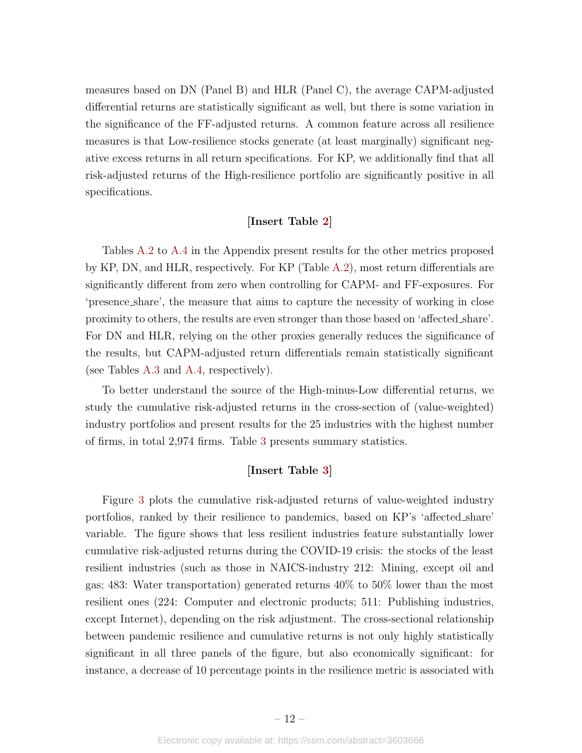measures based on DN (Panel B) and HLR (Panel C), the average CAPM-adjusted differential returns are statistically significant as well, but there is some variation in the significance of the FF-adjusted returns. A common feature across all resilience measures is that Low-resilience stocks generate (at least marginally) significant negative excess returns in all return specifications. For KP, we additionally find that all risk-adjusted returns of the High-resilience portfolio are significantly positive in all specifications.

### [Insert Table [2\]](#page-29-0)

Tables [A.2](#page-37-0) to [A.4](#page-39-0) in the Appendix present results for the other metrics proposed by KP, DN, and HLR, respectively. For KP (Table [A.2\)](#page-37-0), most return differentials are significantly different from zero when controlling for CAPM- and FF-exposures. For 'presence share', the measure that aims to capture the necessity of working in close proximity to others, the results are even stronger than those based on 'affected share'. For DN and HLR, relying on the other proxies generally reduces the significance of the results, but CAPM-adjusted return differentials remain statistically significant (see Tables [A.3](#page-38-0) and [A.4,](#page-39-0) respectively).

To better understand the source of the High-minus-Low differential returns, we study the cumulative risk-adjusted returns in the cross-section of (value-weighted) industry portfolios and present results for the 25 industries with the highest number of firms, in total 2,974 firms. Table [3](#page-30-0) presents summary statistics.

### [Insert Table [3\]](#page-30-0)

Figure [3](#page-24-0) plots the cumulative risk-adjusted returns of value-weighted industry portfolios, ranked by their resilience to pandemics, based on KP's 'affected share' variable. The figure shows that less resilient industries feature substantially lower cumulative risk-adjusted returns during the COVID-19 crisis: the stocks of the least resilient industries (such as those in NAICS-industry 212: Mining, except oil and gas; 483: Water transportation) generated returns 40% to 50% lower than the most resilient ones (224: Computer and electronic products; 511: Publishing industries, except Internet), depending on the risk adjustment. The cross-sectional relationship between pandemic resilience and cumulative returns is not only highly statistically significant in all three panels of the figure, but also economically significant: for instance, a decrease of 10 percentage points in the resilience metric is associated with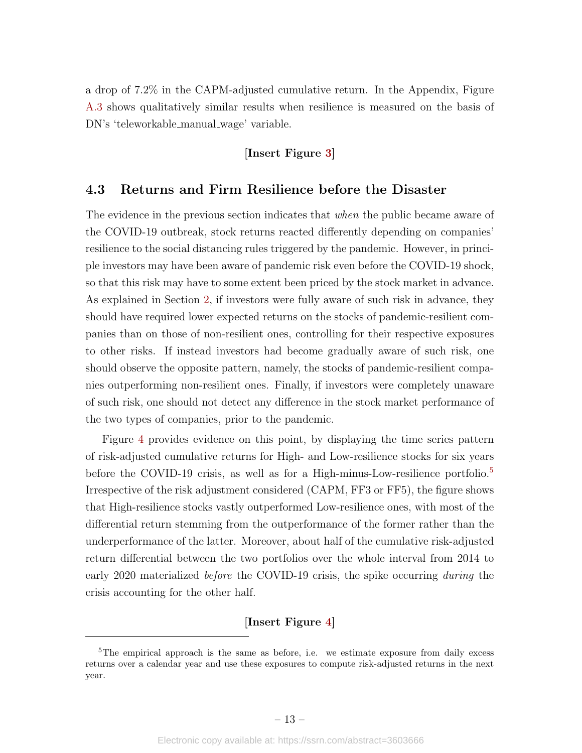a drop of 7.2% in the CAPM-adjusted cumulative return. In the Appendix, Figure [A.3](#page-38-0) shows qualitatively similar results when resilience is measured on the basis of DN's 'teleworkable manual wage' variable.

## [Insert Figure [3\]](#page-24-0)

## <span id="page-13-0"></span>4.3 Returns and Firm Resilience before the Disaster

The evidence in the previous section indicates that when the public became aware of the COVID-19 outbreak, stock returns reacted differently depending on companies' resilience to the social distancing rules triggered by the pandemic. However, in principle investors may have been aware of pandemic risk even before the COVID-19 shock, so that this risk may have to some extent been priced by the stock market in advance. As explained in Section [2,](#page-5-0) if investors were fully aware of such risk in advance, they should have required lower expected returns on the stocks of pandemic-resilient companies than on those of non-resilient ones, controlling for their respective exposures to other risks. If instead investors had become gradually aware of such risk, one should observe the opposite pattern, namely, the stocks of pandemic-resilient companies outperforming non-resilient ones. Finally, if investors were completely unaware of such risk, one should not detect any difference in the stock market performance of the two types of companies, prior to the pandemic.

Figure [4](#page-25-0) provides evidence on this point, by displaying the time series pattern of risk-adjusted cumulative returns for High- and Low-resilience stocks for six years before the COVID-19 crisis, as well as for a High-minus-Low-resilience portfolio.<sup>[5](#page-13-1)</sup> Irrespective of the risk adjustment considered (CAPM, FF3 or FF5), the figure shows that High-resilience stocks vastly outperformed Low-resilience ones, with most of the differential return stemming from the outperformance of the former rather than the underperformance of the latter. Moreover, about half of the cumulative risk-adjusted return differential between the two portfolios over the whole interval from 2014 to early 2020 materialized *before* the COVID-19 crisis, the spike occurring *during* the crisis accounting for the other half.

## [Insert Figure [4\]](#page-25-0)

<span id="page-13-1"></span> $5$ The empirical approach is the same as before, i.e. we estimate exposure from daily excess returns over a calendar year and use these exposures to compute risk-adjusted returns in the next year.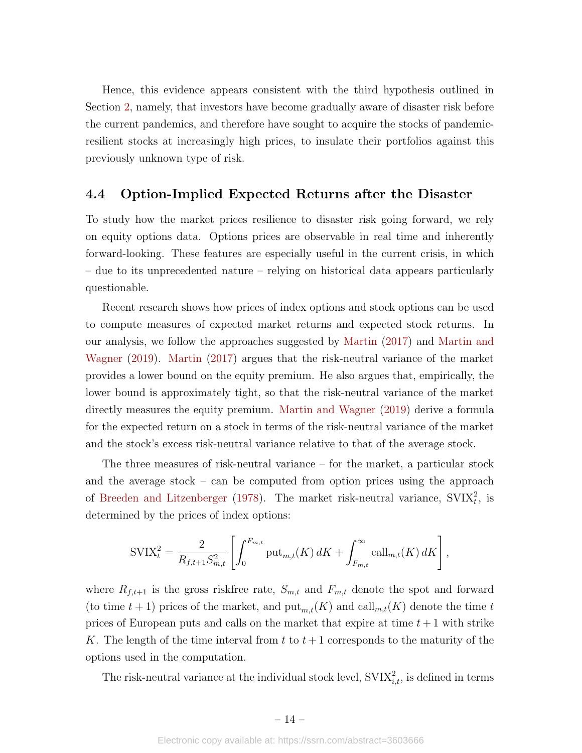Hence, this evidence appears consistent with the third hypothesis outlined in Section [2,](#page-5-0) namely, that investors have become gradually aware of disaster risk before the current pandemics, and therefore have sought to acquire the stocks of pandemicresilient stocks at increasingly high prices, to insulate their portfolios against this previously unknown type of risk.

## <span id="page-14-0"></span>4.4 Option-Implied Expected Returns after the Disaster

To study how the market prices resilience to disaster risk going forward, we rely on equity options data. Options prices are observable in real time and inherently forward-looking. These features are especially useful in the current crisis, in which – due to its unprecedented nature – relying on historical data appears particularly questionable.

Recent research shows how prices of index options and stock options can be used to compute measures of expected market returns and expected stock returns. In our analysis, we follow the approaches suggested by [Martin](#page-21-8) [\(2017\)](#page-21-8) and [Martin and](#page-21-9) [Wagner](#page-21-9) [\(2019\)](#page-21-9). [Martin](#page-21-8) [\(2017\)](#page-21-8) argues that the risk-neutral variance of the market provides a lower bound on the equity premium. He also argues that, empirically, the lower bound is approximately tight, so that the risk-neutral variance of the market directly measures the equity premium. [Martin and Wagner](#page-21-9) [\(2019\)](#page-21-9) derive a formula for the expected return on a stock in terms of the risk-neutral variance of the market and the stock's excess risk-neutral variance relative to that of the average stock.

The three measures of risk-neutral variance – for the market, a particular stock and the average stock – can be computed from option prices using the approach of [Breeden and Litzenberger](#page-19-10) [\(1978\)](#page-19-10). The market risk-neutral variance,  $SVIX_t^2$ , is determined by the prices of index options:

$$
SVIX_t^2 = \frac{2}{R_{f,t+1}S_{m,t}^2} \left[ \int_0^{F_{m,t}} \text{put}_{m,t}(K) \, dK + \int_{F_{m,t}}^{\infty} \text{call}_{m,t}(K) \, dK \right],
$$

where  $R_{f,t+1}$  is the gross riskfree rate,  $S_{m,t}$  and  $F_{m,t}$  denote the spot and forward (to time  $t + 1$ ) prices of the market, and  $\text{put}_{m,t}(K)$  and  $\text{call}_{m,t}(K)$  denote the time t prices of European puts and calls on the market that expire at time  $t + 1$  with strike K. The length of the time interval from t to  $t + 1$  corresponds to the maturity of the options used in the computation.

The risk-neutral variance at the individual stock level,  $\text{SVIX}_{i,t}^2$ , is defined in terms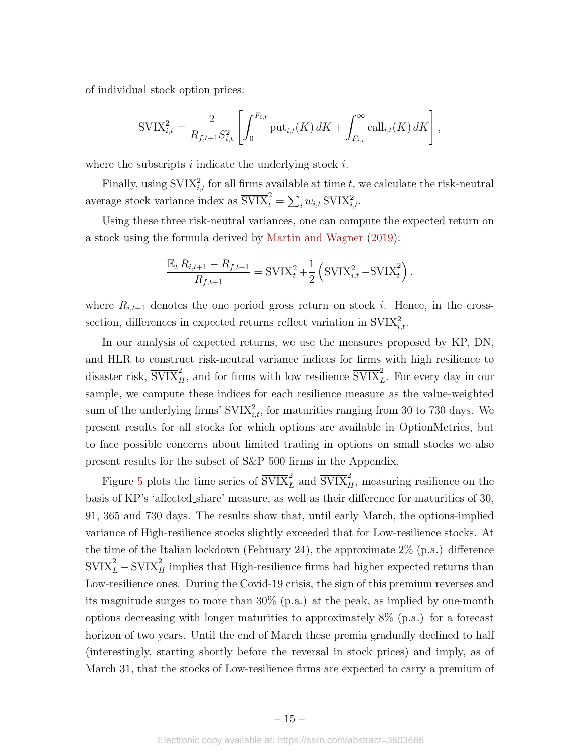of individual stock option prices:

$$
SVIX_{i,t}^{2} = \frac{2}{R_{f,t+1}S_{i,t}^{2}} \left[ \int_{0}^{F_{i,t}} \text{put}_{i,t}(K) dK + \int_{F_{i,t}}^{\infty} \text{call}_{i,t}(K) dK \right],
$$

where the subscripts  $i$  indicate the underlying stock  $i$ .

Finally, using  $\text{SVIX}_{i,t}^2$  for all firms available at time t, we calculate the risk-neutral average stock variance index as  $\overline{\text{SVIX}}_t^2 = \sum_i w_{i,t} \text{SVIX}_{i,t}^2$ .

Using these three risk-neutral variances, one can compute the expected return on a stock using the formula derived by [Martin and Wagner](#page-21-9) [\(2019\)](#page-21-9):

$$
\frac{\mathbb{E}_t R_{i,t+1} - R_{f,t+1}}{R_{f,t+1}} = \text{SVIX}_t^2 + \frac{1}{2} \left( \text{SVIX}_{i,t}^2 - \overline{\text{SVIX}}_t^2 \right).
$$

where  $R_{i,t+1}$  denotes the one period gross return on stock i. Hence, in the crosssection, differences in expected returns reflect variation in  $\text{SVIX}_{i,t}^2$ .

In our analysis of expected returns, we use the measures proposed by KP, DN, and HLR to construct risk-neutral variance indices for firms with high resilience to disaster risk,  $\overline{\text{SVIX}}_H^2$ , and for firms with low resilience  $\overline{\text{SVIX}}_L^2$ . For every day in our sample, we compute these indices for each resilience measure as the value-weighted sum of the underlying firms'  $\text{SVIX}_{i,t}^2$ , for maturities ranging from 30 to 730 days. We present results for all stocks for which options are available in OptionMetrics, but to face possible concerns about limited trading in options on small stocks we also present results for the subset of S&P 500 firms in the Appendix.

Figure [5](#page-26-0) plots the time series of  $\overline{\text{SVIX}}_L^2$  and  $\overline{\text{SVIX}}_H^2$ , measuring resilience on the basis of KP's 'affected share' measure, as well as their difference for maturities of 30, 91, 365 and 730 days. The results show that, until early March, the options-implied variance of High-resilience stocks slightly exceeded that for Low-resilience stocks. At the time of the Italian lockdown (February 24), the approximate 2% (p.a.) difference  $\overline{\mathrm{SVIX}}_L^2 - \overline{\mathrm{SVIX}}_H^2$  implies that High-resilience firms had higher expected returns than Low-resilience ones. During the Covid-19 crisis, the sign of this premium reverses and its magnitude surges to more than 30% (p.a.) at the peak, as implied by one-month options decreasing with longer maturities to approximately 8% (p.a.) for a forecast horizon of two years. Until the end of March these premia gradually declined to half (interestingly, starting shortly before the reversal in stock prices) and imply, as of March 31, that the stocks of Low-resilience firms are expected to carry a premium of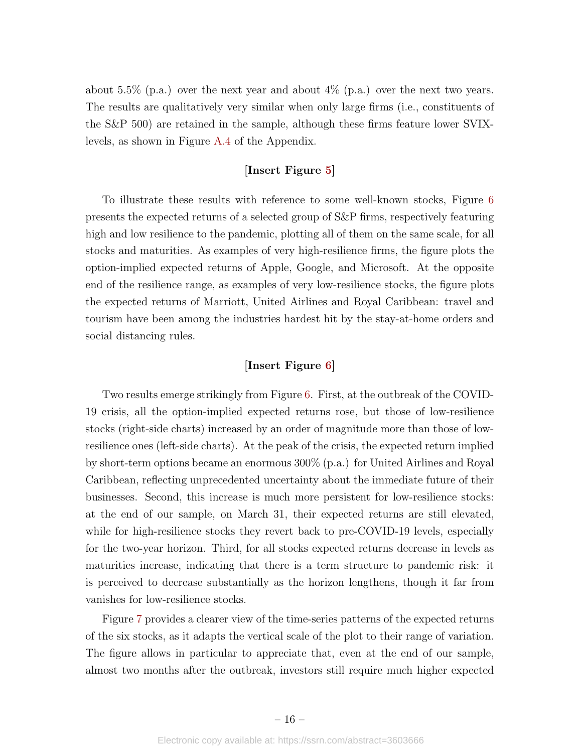about 5.5% (p.a.) over the next year and about  $4\%$  (p.a.) over the next two years. The results are qualitatively very similar when only large firms (i.e., constituents of the S&P 500) are retained in the sample, although these firms feature lower SVIXlevels, as shown in Figure [A.4](#page-35-0) of the Appendix.

### [Insert Figure [5\]](#page-26-0)

To illustrate these results with reference to some well-known stocks, Figure [6](#page-27-0) presents the expected returns of a selected group of S&P firms, respectively featuring high and low resilience to the pandemic, plotting all of them on the same scale, for all stocks and maturities. As examples of very high-resilience firms, the figure plots the option-implied expected returns of Apple, Google, and Microsoft. At the opposite end of the resilience range, as examples of very low-resilience stocks, the figure plots the expected returns of Marriott, United Airlines and Royal Caribbean: travel and tourism have been among the industries hardest hit by the stay-at-home orders and social distancing rules.

#### [Insert Figure [6\]](#page-27-0)

Two results emerge strikingly from Figure [6.](#page-27-0) First, at the outbreak of the COVID-19 crisis, all the option-implied expected returns rose, but those of low-resilience stocks (right-side charts) increased by an order of magnitude more than those of lowresilience ones (left-side charts). At the peak of the crisis, the expected return implied by short-term options became an enormous 300% (p.a.) for United Airlines and Royal Caribbean, reflecting unprecedented uncertainty about the immediate future of their businesses. Second, this increase is much more persistent for low-resilience stocks: at the end of our sample, on March 31, their expected returns are still elevated, while for high-resilience stocks they revert back to pre-COVID-19 levels, especially for the two-year horizon. Third, for all stocks expected returns decrease in levels as maturities increase, indicating that there is a term structure to pandemic risk: it is perceived to decrease substantially as the horizon lengthens, though it far from vanishes for low-resilience stocks.

Figure [7](#page-28-0) provides a clearer view of the time-series patterns of the expected returns of the six stocks, as it adapts the vertical scale of the plot to their range of variation. The figure allows in particular to appreciate that, even at the end of our sample, almost two months after the outbreak, investors still require much higher expected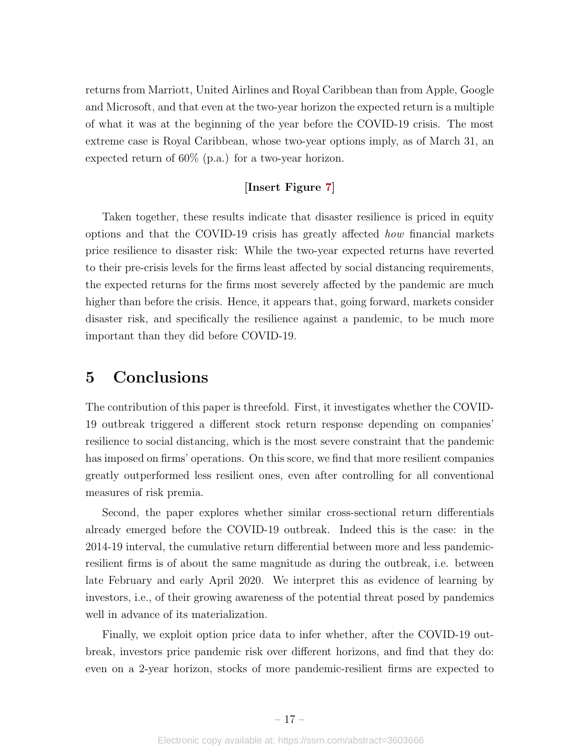returns from Marriott, United Airlines and Royal Caribbean than from Apple, Google and Microsoft, and that even at the two-year horizon the expected return is a multiple of what it was at the beginning of the year before the COVID-19 crisis. The most extreme case is Royal Caribbean, whose two-year options imply, as of March 31, an expected return of 60% (p.a.) for a two-year horizon.

## [Insert Figure [7\]](#page-28-0)

Taken together, these results indicate that disaster resilience is priced in equity options and that the COVID-19 crisis has greatly affected how financial markets price resilience to disaster risk: While the two-year expected returns have reverted to their pre-crisis levels for the firms least affected by social distancing requirements, the expected returns for the firms most severely affected by the pandemic are much higher than before the crisis. Hence, it appears that, going forward, markets consider disaster risk, and specifically the resilience against a pandemic, to be much more important than they did before COVID-19.

## <span id="page-17-0"></span>5 Conclusions

The contribution of this paper is threefold. First, it investigates whether the COVID-19 outbreak triggered a different stock return response depending on companies' resilience to social distancing, which is the most severe constraint that the pandemic has imposed on firms' operations. On this score, we find that more resilient companies greatly outperformed less resilient ones, even after controlling for all conventional measures of risk premia.

Second, the paper explores whether similar cross-sectional return differentials already emerged before the COVID-19 outbreak. Indeed this is the case: in the 2014-19 interval, the cumulative return differential between more and less pandemicresilient firms is of about the same magnitude as during the outbreak, i.e. between late February and early April 2020. We interpret this as evidence of learning by investors, i.e., of their growing awareness of the potential threat posed by pandemics well in advance of its materialization.

Finally, we exploit option price data to infer whether, after the COVID-19 outbreak, investors price pandemic risk over different horizons, and find that they do: even on a 2-year horizon, stocks of more pandemic-resilient firms are expected to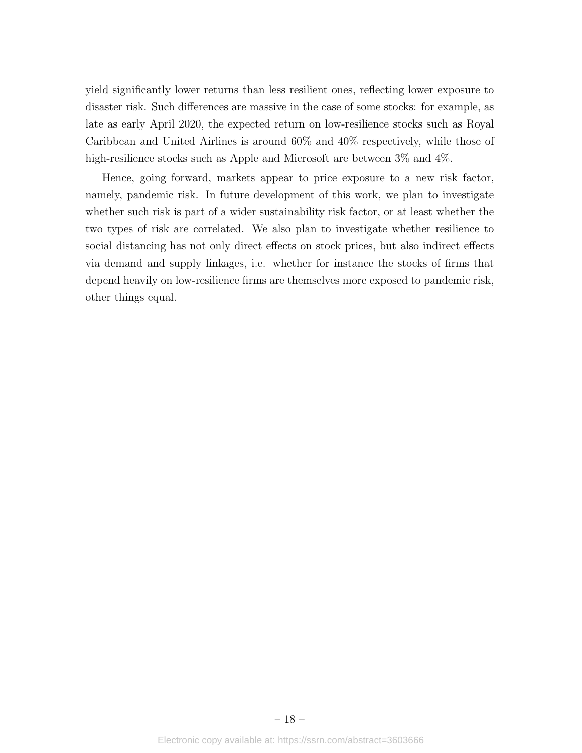yield significantly lower returns than less resilient ones, reflecting lower exposure to disaster risk. Such differences are massive in the case of some stocks: for example, as late as early April 2020, the expected return on low-resilience stocks such as Royal Caribbean and United Airlines is around 60% and 40% respectively, while those of high-resilience stocks such as Apple and Microsoft are between  $3\%$  and  $4\%$ .

Hence, going forward, markets appear to price exposure to a new risk factor, namely, pandemic risk. In future development of this work, we plan to investigate whether such risk is part of a wider sustainability risk factor, or at least whether the two types of risk are correlated. We also plan to investigate whether resilience to social distancing has not only direct effects on stock prices, but also indirect effects via demand and supply linkages, i.e. whether for instance the stocks of firms that depend heavily on low-resilience firms are themselves more exposed to pandemic risk, other things equal.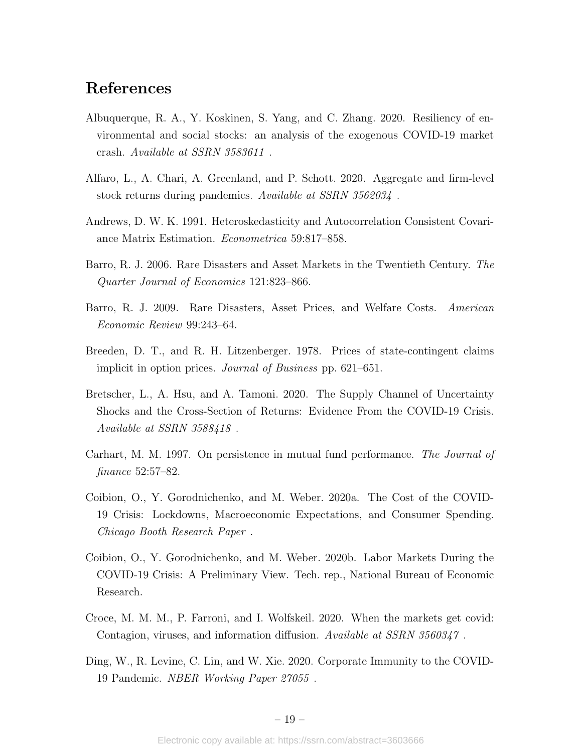## References

- <span id="page-19-5"></span>Albuquerque, R. A., Y. Koskinen, S. Yang, and C. Zhang. 2020. Resiliency of environmental and social stocks: an analysis of the exogenous COVID-19 market crash. Available at SSRN 3583611 .
- <span id="page-19-6"></span>Alfaro, L., A. Chari, A. Greenland, and P. Schott. 2020. Aggregate and firm-level stock returns during pandemics. Available at SSRN 3562034 .
- <span id="page-19-11"></span>Andrews, D. W. K. 1991. Heteroskedasticity and Autocorrelation Consistent Covariance Matrix Estimation. Econometrica 59:817–858.
- <span id="page-19-2"></span>Barro, R. J. 2006. Rare Disasters and Asset Markets in the Twentieth Century. The Quarter Journal of Economics 121:823–866.
- <span id="page-19-3"></span>Barro, R. J. 2009. Rare Disasters, Asset Prices, and Welfare Costs. American Economic Review 99:243–64.
- <span id="page-19-10"></span>Breeden, D. T., and R. H. Litzenberger. 1978. Prices of state-contingent claims implicit in option prices. Journal of Business pp. 621–651.
- <span id="page-19-4"></span>Bretscher, L., A. Hsu, and A. Tamoni. 2020. The Supply Channel of Uncertainty Shocks and the Cross-Section of Returns: Evidence From the COVID-19 Crisis. Available at SSRN 3588418 .
- <span id="page-19-9"></span>Carhart, M. M. 1997. On persistence in mutual fund performance. The Journal of finance 52:57–82.
- <span id="page-19-1"></span>Coibion, O., Y. Gorodnichenko, and M. Weber. 2020a. The Cost of the COVID-19 Crisis: Lockdowns, Macroeconomic Expectations, and Consumer Spending. Chicago Booth Research Paper .
- <span id="page-19-0"></span>Coibion, O., Y. Gorodnichenko, and M. Weber. 2020b. Labor Markets During the COVID-19 Crisis: A Preliminary View. Tech. rep., National Bureau of Economic Research.
- <span id="page-19-8"></span>Croce, M. M. M., P. Farroni, and I. Wolfskeil. 2020. When the markets get covid: Contagion, viruses, and information diffusion. Available at SSRN 3560347 .
- <span id="page-19-7"></span>Ding, W., R. Levine, C. Lin, and W. Xie. 2020. Corporate Immunity to the COVID-19 Pandemic. NBER Working Paper 27055 .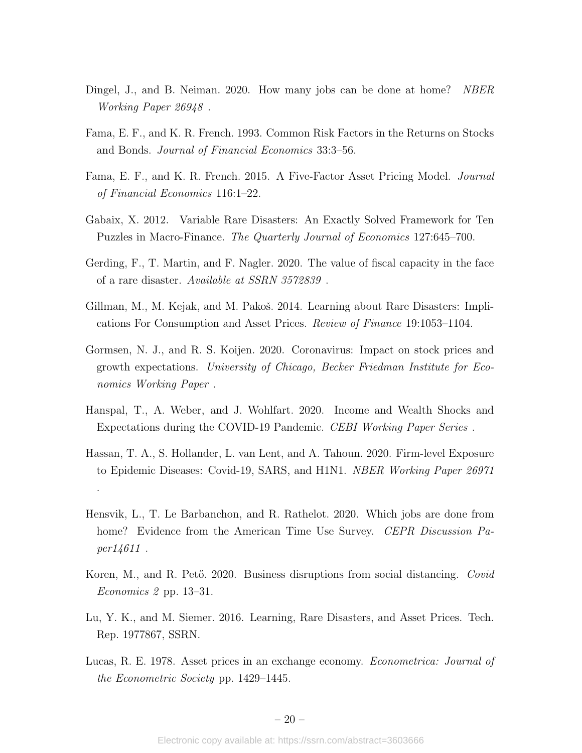- <span id="page-20-2"></span>Dingel, J., and B. Neiman. 2020. How many jobs can be done at home? NBER Working Paper 26948 .
- <span id="page-20-11"></span>Fama, E. F., and K. R. French. 1993. Common Risk Factors in the Returns on Stocks and Bonds. Journal of Financial Economics 33:3–56.
- <span id="page-20-12"></span>Fama, E. F., and K. R. French. 2015. A Five-Factor Asset Pricing Model. *Journal* of Financial Economics 116:1–22.
- <span id="page-20-8"></span>Gabaix, X. 2012. Variable Rare Disasters: An Exactly Solved Framework for Ten Puzzles in Macro-Finance. The Quarterly Journal of Economics 127:645–700.
- <span id="page-20-10"></span>Gerding, F., T. Martin, and F. Nagler. 2020. The value of fiscal capacity in the face of a rare disaster. Available at SSRN 3572839 .
- <span id="page-20-6"></span>Gillman, M., M. Kejak, and M. Pakoš. 2014. Learning about Rare Disasters: Implications For Consumption and Asset Prices. Review of Finance 19:1053–1104.
- <span id="page-20-1"></span>Gormsen, N. J., and R. S. Koijen. 2020. Coronavirus: Impact on stock prices and growth expectations. University of Chicago, Becker Friedman Institute for Economics Working Paper .
- <span id="page-20-0"></span>Hanspal, T., A. Weber, and J. Wohlfart. 2020. Income and Wealth Shocks and Expectations during the COVID-19 Pandemic. CEBI Working Paper Series .
- <span id="page-20-9"></span>Hassan, T. A., S. Hollander, L. van Lent, and A. Tahoun. 2020. Firm-level Exposure to Epidemic Diseases: Covid-19, SARS, and H1N1. NBER Working Paper 26971

.

- <span id="page-20-3"></span>Hensvik, L., T. Le Barbanchon, and R. Rathelot. 2020. Which jobs are done from home? Evidence from the American Time Use Survey. CEPR Discussion Paper14611 .
- <span id="page-20-4"></span>Koren, M., and R. Pető. 2020. Business disruptions from social distancing. Covid Economics 2 pp. 13–31.
- <span id="page-20-7"></span>Lu, Y. K., and M. Siemer. 2016. Learning, Rare Disasters, and Asset Prices. Tech. Rep. 1977867, SSRN.
- <span id="page-20-5"></span>Lucas, R. E. 1978. Asset prices in an exchange economy. *Econometrica: Journal of* the Econometric Society pp. 1429–1445.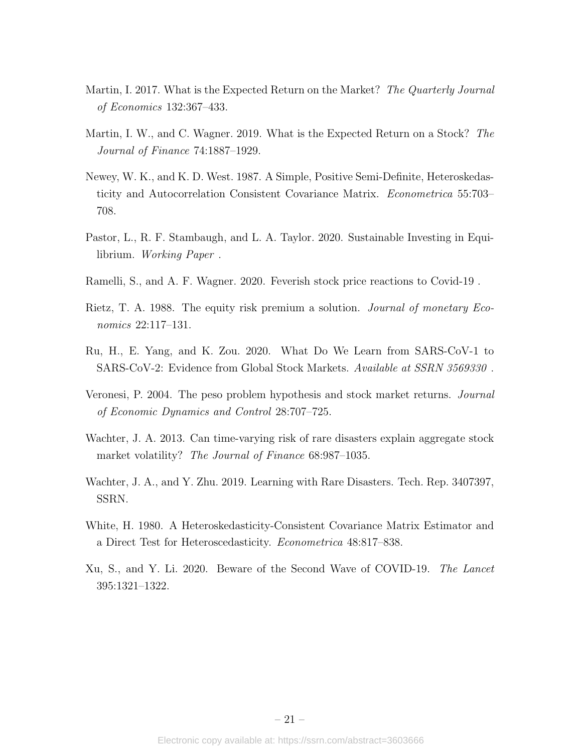- <span id="page-21-8"></span>Martin, I. 2017. What is the Expected Return on the Market? The Quarterly Journal of Economics 132:367–433.
- <span id="page-21-9"></span>Martin, I. W., and C. Wagner. 2019. What is the Expected Return on a Stock? The Journal of Finance 74:1887–1929.
- <span id="page-21-11"></span>Newey, W. K., and K. D. West. 1987. A Simple, Positive Semi-Definite, Heteroskedasticity and Autocorrelation Consistent Covariance Matrix. Econometrica 55:703– 708.
- <span id="page-21-7"></span>Pastor, L., R. F. Stambaugh, and L. A. Taylor. 2020. Sustainable Investing in Equilibrium. Working Paper .
- <span id="page-21-5"></span>Ramelli, S., and A. F. Wagner. 2020. Feverish stock price reactions to Covid-19 .
- <span id="page-21-1"></span>Rietz, T. A. 1988. The equity risk premium a solution. *Journal of monetary Eco*nomics 22:117–131.
- <span id="page-21-6"></span>Ru, H., E. Yang, and K. Zou. 2020. What Do We Learn from SARS-CoV-1 to SARS-CoV-2: Evidence from Global Stock Markets. Available at SSRN 3569330 .
- <span id="page-21-2"></span>Veronesi, P. 2004. The peso problem hypothesis and stock market returns. Journal of Economic Dynamics and Control 28:707–725.
- <span id="page-21-4"></span>Wachter, J. A. 2013. Can time-varying risk of rare disasters explain aggregate stock market volatility? The Journal of Finance 68:987–1035.
- <span id="page-21-3"></span>Wachter, J. A., and Y. Zhu. 2019. Learning with Rare Disasters. Tech. Rep. 3407397, SSRN.
- <span id="page-21-10"></span>White, H. 1980. A Heteroskedasticity-Consistent Covariance Matrix Estimator and a Direct Test for Heteroscedasticity. Econometrica 48:817–838.
- <span id="page-21-0"></span>Xu, S., and Y. Li. 2020. Beware of the Second Wave of COVID-19. The Lancet 395:1321–1322.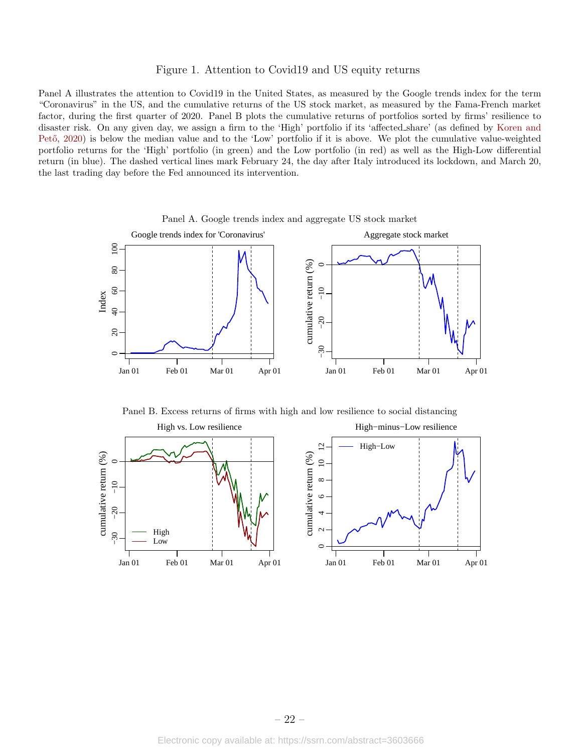#### Figure 1. Attention to Covid19 and US equity returns

<span id="page-22-0"></span>Panel A illustrates the attention to Covid19 in the United States, as measured by the Google trends index for the term "Coronavirus" in the US, and the cumulative returns of the US stock market, as measured by the Fama-French market factor, during the first quarter of 2020. Panel B plots the cumulative returns of portfolios sorted by firms' resilience to disaster risk. On any given day, we assign a firm to the 'High' portfolio if its 'affected share' (as defined by [Koren and](#page-20-4) Pető, [2020\)](#page-20-4) is below the median value and to the 'Low' portfolio if it is above. We plot the cumulative value-weighted portfolio returns for the 'High' portfolio (in green) and the Low portfolio (in red) as well as the High-Low differential return (in blue). The dashed vertical lines mark February 24, the day after Italy introduced its lockdown, and March 20, the last trading day before the Fed announced its intervention.



Panel A. Google trends index and aggregate US stock market

Panel B. Excess returns of firms with high and low resilience to social distancing

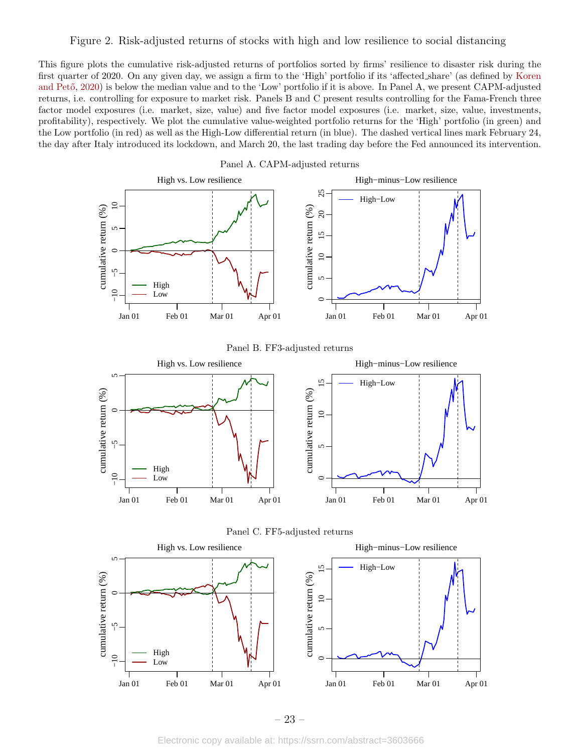#### <span id="page-23-0"></span>Figure 2. Risk-adjusted returns of stocks with high and low resilience to social distancing

This figure plots the cumulative risk-adjusted returns of portfolios sorted by firms' resilience to disaster risk during the first quarter of 2020. On any given day, we assign a firm to the 'High' portfolio if its 'affected share' (as defined by [Koren](#page-20-4) and Pető, [2020\)](#page-20-4) is below the median value and to the 'Low' portfolio if it is above. In Panel A, we present CAPM-adjusted returns, i.e. controlling for exposure to market risk. Panels B and C present results controlling for the Fama-French three factor model exposures (i.e. market, size, value) and five factor model exposures (i.e. market, size, value, investments, profitability), respectively. We plot the cumulative value-weighted portfolio returns for the 'High' portfolio (in green) and the Low portfolio (in red) as well as the High-Low differential return (in blue). The dashed vertical lines mark February 24, the day after Italy introduced its lockdown, and March 20, the last trading day before the Fed announced its intervention.







– 23 –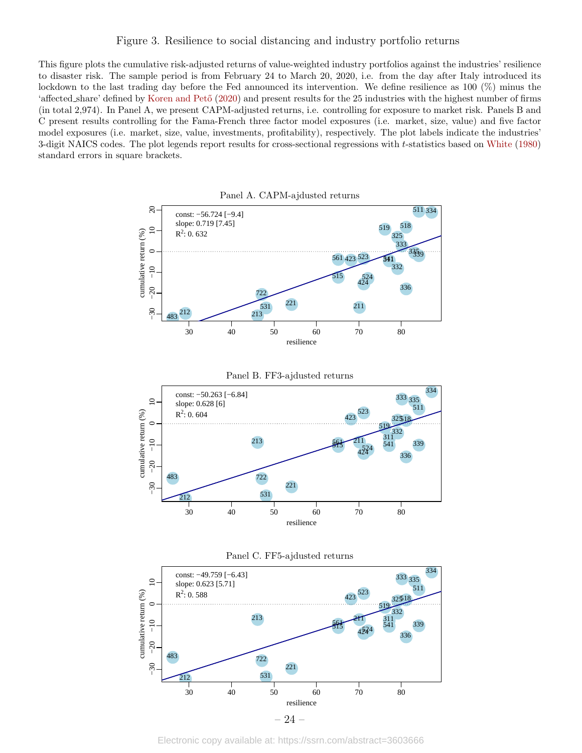#### <span id="page-24-0"></span>Figure 3. Resilience to social distancing and industry portfolio returns

This figure plots the cumulative risk-adjusted returns of value-weighted industry portfolios against the industries' resilience to disaster risk. The sample period is from February 24 to March 20, 2020, i.e. from the day after Italy introduced its lockdown to the last trading day before the Fed announced its intervention. We define resilience as 100 (%) minus the 'affected share' defined by Koren and Pető [\(2020\)](#page-20-4) and present results for the 25 industries with the highest number of firms (in total 2,974). In Panel A, we present CAPM-adjusted returns, i.e. controlling for exposure to market risk. Panels B and C present results controlling for the Fama-French three factor model exposures (i.e. market, size, value) and five factor model exposures (i.e. market, size, value, investments, profitability), respectively. The plot labels indicate the industries' 3-digit NAICS codes. The plot legends report results for cross-sectional regressions with t-statistics based on [White](#page-21-10) [\(1980\)](#page-21-10) standard errors in square brackets.

Panel A. CAPM-ajdusted returns ● ● 334 511  $\overline{c}$  10 20 const: −56.724 [−9.4] ● 518 slope: 0.719 [7.45] ● 519  $\overline{10}$  $R^2$ : 0.632 cumulative return (%) cumulative return (%)  $: 0.632$  325 325  $\frac{25}{333}$ 3339  $\overline{C}$ 561 423 523<br>332<br>332  $\frac{1}{341}$  $\begin{array}{r} \n 561 \text{ } 423 \text{ } 223 \text{ } \n \end{array}$ 311<br>
483 <sup>212</sup><br>
483 <sup>212</sup><br>
483 <sup>212</sup><br>
221<br>
221<br>
221 332  $-10$ −30 −20 −10 515 ● 524 424 515  $\frac{515}{424}$ ● 336  $-20$ 72 ● 221  $212$   $213$   $221$   $211$ ● 531 211  $-30$  $213$ 212 483 30 40 50 60 70 80 resilience







Electronic copy available at: https://ssrn.com/abstract=3603666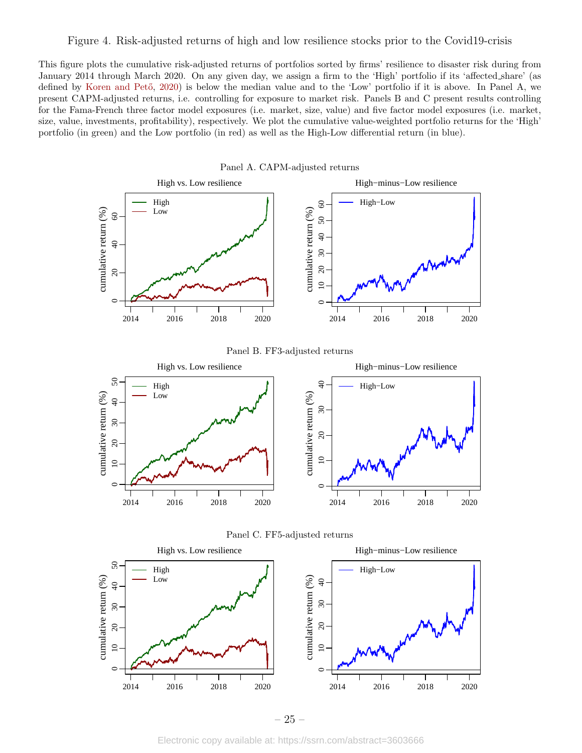#### <span id="page-25-0"></span>Figure 4. Risk-adjusted returns of high and low resilience stocks prior to the Covid19-crisis

This figure plots the cumulative risk-adjusted returns of portfolios sorted by firms' resilience to disaster risk during from January 2014 through March 2020. On any given day, we assign a firm to the 'High' portfolio if its 'affected share' (as defined by Koren and Pető, [2020\)](#page-20-4) is below the median value and to the 'Low' portfolio if it is above. In Panel A, we present CAPM-adjusted returns, i.e. controlling for exposure to market risk. Panels B and C present results controlling for the Fama-French three factor model exposures (i.e. market, size, value) and five factor model exposures (i.e. market, size, value, investments, profitability), respectively. We plot the cumulative value-weighted portfolio returns for the 'High' portfolio (in green) and the Low portfolio (in red) as well as the High-Low differential return (in blue).

Panel A. CAPM-adjusted returns





– 25 –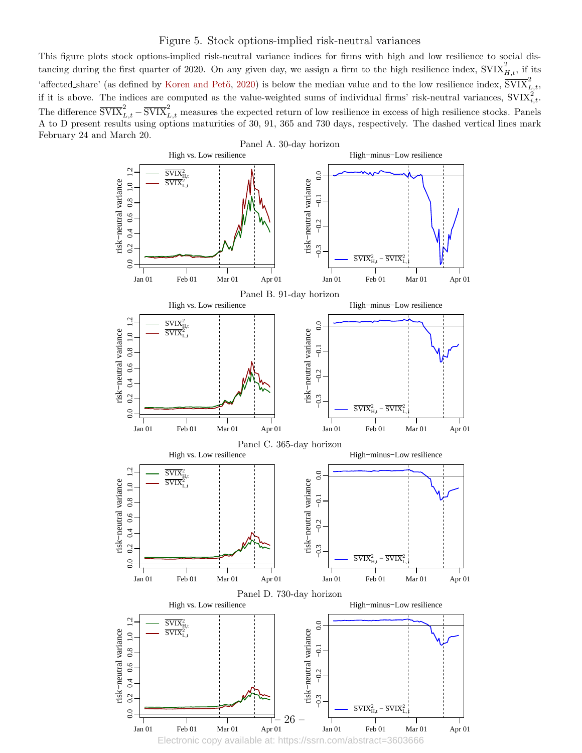#### Figure 5. Stock options-implied risk-neutral variances

<span id="page-26-0"></span>This figure plots stock options-implied risk-neutral variance indices for firms with high and low resilience to social distancing during the first quarter of 2020. On any given day, we assign a firm to the high resilience index,  $\overline{SVIX}_{H,t}^2$ , if its 'affected share' (as defined by Koren and Pető, [2020\)](#page-20-4) is below the median value and to the low resilience index,  $\overline{\text{SVIX}}_{L,t}^2$ , if it is above. The indices are computed as the value-weighted sums of individual firms' risk-neutral variances,  $SVIX_{i,t}^2$ . The difference  $\overline{\text{SVIX}}_{L,t}^2 - \overline{\text{SVIX}}_{L,t}^2$  measures the expected return of low resilience in excess of high resilience stocks. Panels A to D present results using options maturities of 30, 91, 365 and 730 days, respectively. The dashed vertical lines mark February 24 and March 20.

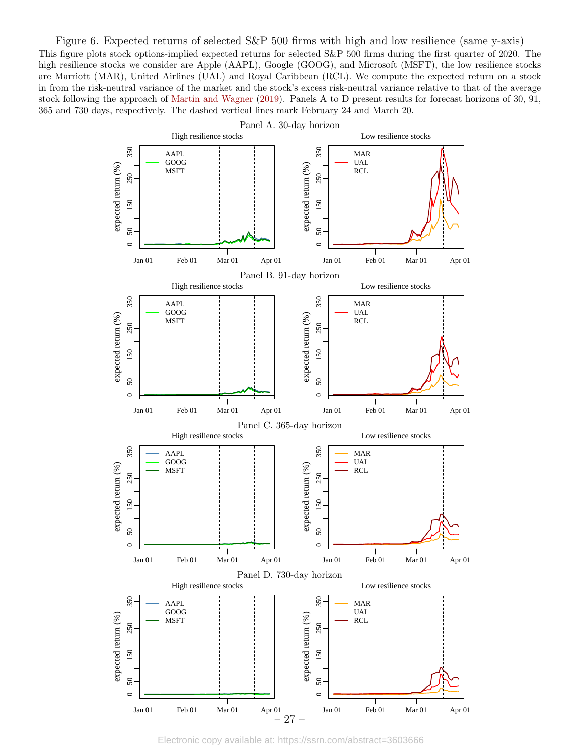<span id="page-27-0"></span>Figure 6. Expected returns of selected S&P 500 firms with high and low resilience (same y-axis) This figure plots stock options-implied expected returns for selected S&P 500 firms during the first quarter of 2020. The high resilience stocks we consider are Apple (AAPL), Google (GOOG), and Microsoft (MSFT), the low resilience stocks are Marriott (MAR), United Airlines (UAL) and Royal Caribbean (RCL). We compute the expected return on a stock in from the risk-neutral variance of the market and the stock's excess risk-neutral variance relative to that of the average stock following the approach of [Martin and Wagner](#page-21-9) [\(2019\)](#page-21-9). Panels A to D present results for forecast horizons of 30, 91, 365 and 730 days, respectively. The dashed vertical lines mark February 24 and March 20.



Electronic copy available at: https://ssrn.com/abstract=3603666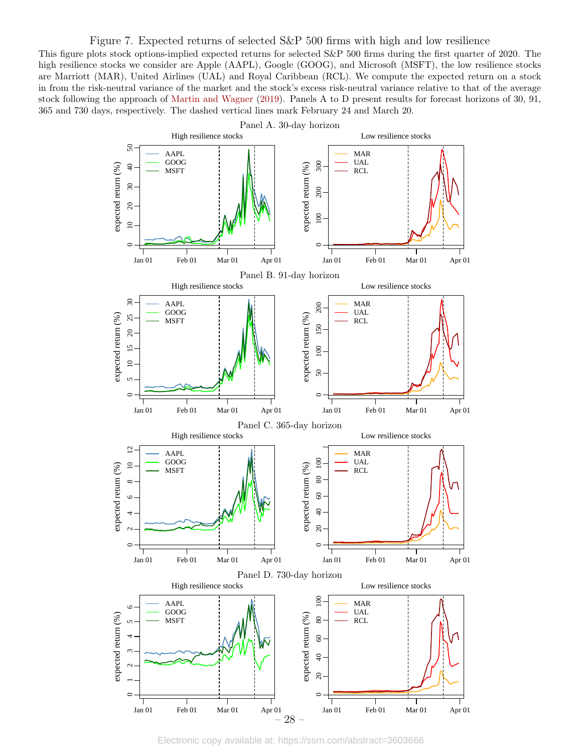#### <span id="page-28-0"></span>Figure 7. Expected returns of selected S&P 500 firms with high and low resilience

This figure plots stock options-implied expected returns for selected S&P 500 firms during the first quarter of 2020. The high resilience stocks we consider are Apple (AAPL), Google (GOOG), and Microsoft (MSFT), the low resilience stocks are Marriott (MAR), United Airlines (UAL) and Royal Caribbean (RCL). We compute the expected return on a stock in from the risk-neutral variance of the market and the stock's excess risk-neutral variance relative to that of the average stock following the approach of [Martin and Wagner](#page-21-9) [\(2019\)](#page-21-9). Panels A to D present results for forecast horizons of 30, 91, 365 and 730 days, respectively. The dashed vertical lines mark February 24 and March 20.



Electronic copy available at: https://ssrn.com/abstract=3603666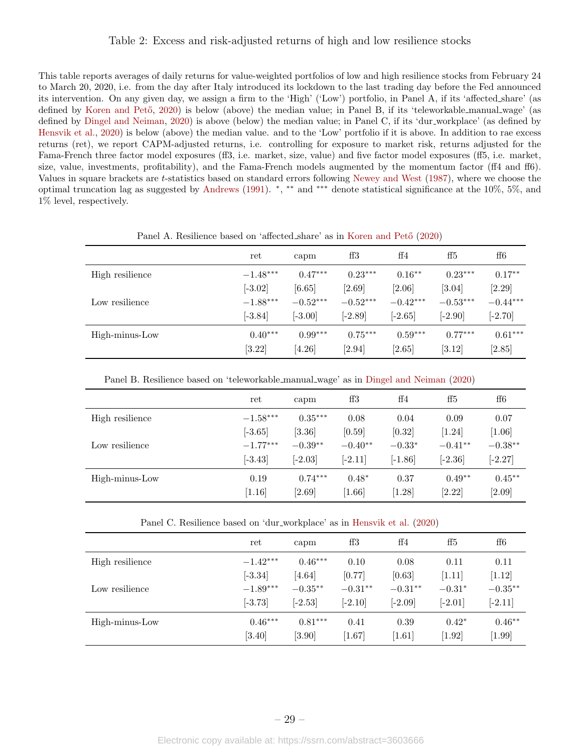#### <span id="page-29-0"></span>Table 2: Excess and risk-adjusted returns of high and low resilience stocks

This table reports averages of daily returns for value-weighted portfolios of low and high resilience stocks from February 24 to March 20, 2020, i.e. from the day after Italy introduced its lockdown to the last trading day before the Fed announced its intervention. On any given day, we assign a firm to the 'High' ('Low') portfolio, in Panel A, if its 'affected share' (as defined by Koren and Pető, [2020\)](#page-20-4) is below (above) the median value; in Panel B, if its 'teleworkable manual wage' (as defined by [Dingel and Neiman,](#page-20-2) [2020\)](#page-20-2) is above (below) the median value; in Panel C, if its 'dur workplace' (as defined by [Hensvik et al.,](#page-20-3) [2020\)](#page-20-3) is below (above) the median value. and to the 'Low' portfolio if it is above. In addition to rae excess returns (ret), we report CAPM-adjusted returns, i.e. controlling for exposure to market risk, returns adjusted for the Fama-French three factor model exposures (ff3, i.e. market, size, value) and five factor model exposures (ff5, i.e. market, size, value, investments, profitability), and the Fama-French models augmented by the momentum factor (ff4 and ff6). Values in square brackets are t-statistics based on standard errors following [Newey and West](#page-21-11) [\(1987\)](#page-21-11), where we choose the optimal truncation lag as suggested by [Andrews](#page-19-11) [\(1991\)](#page-19-11). \*, \*\* and \*\*\* denote statistical significance at the 10%, 5%, and 1% level, respectively.

|                 | ret        | capm       | $_{\rm ff3}$ | ff4        | ff5                  | ff6        |
|-----------------|------------|------------|--------------|------------|----------------------|------------|
| High resilience | $-1.48***$ | $0.47***$  | $0.23***$    | $0.16***$  | $0.23***$            | $0.17**$   |
|                 | $[-3.02]$  | [6.65]     | [2.69]       | [2.06]     | $[3.04]$             | [2.29]     |
| Low resilience  | $-1.88***$ | $-0.52***$ | $-0.52***$   | $-0.42***$ | $-0.53***$           | $-0.44***$ |
|                 | $[-3.84]$  | $[-3.00]$  | $[-2.89]$    | $[-2.65]$  | $[-2.90]$            | $[-2.70]$  |
| High-minus-Low  | $0.40***$  | $0.99***$  | $0.75***$    | $0.59***$  | $0.77***$            | $0.61***$  |
|                 | [3.22]     | $[4.26]$   | [2.94]       | $[2.65]$   | $\left[ 3.12\right]$ | [2.85]     |

Panel A. Resilience based on 'affected share' as in Koren and Pető [\(2020\)](#page-20-4)

| Panel B. Resilience based on 'teleworkable_manual_wage' as in Dingel and Neiman (2020) |  |  |  |  |  |  |  |  |  |
|----------------------------------------------------------------------------------------|--|--|--|--|--|--|--|--|--|
|----------------------------------------------------------------------------------------|--|--|--|--|--|--|--|--|--|

|                 | ret        | capm      | $_{\rm ff3}$ | ff4       | ff5       | ff6       |
|-----------------|------------|-----------|--------------|-----------|-----------|-----------|
| High resilience | $-1.58***$ | $0.35***$ | 0.08         | 0.04      | 0.09      | 0.07      |
|                 | $[-3.65]$  | $[3.36]$  | [0.59]       | [0.32]    | $[1.24]$  | $[1.06]$  |
| Low resilience  | $-1.77***$ | $-0.39**$ | $-0.40**$    | $-0.33*$  | $-0.41**$ | $-0.38**$ |
|                 | $[-3.43]$  | $[-2.03]$ | $[-2.11]$    | $[-1.86]$ | $[-2.36]$ | $[-2.27]$ |
| High-minus-Low  | 0.19       | $0.74***$ | $0.48*$      | 0.37      | $0.49**$  | $0.45**$  |
|                 | [1.16]     | $[2.69]$  | [1.66]       | [1.28]    | [2.22]    | [2.09]    |

|  |  |  |  | Panel C. Resilience based on 'dur_workplace' as in Hensvik et al. (2020) |  |  |  |  |  |
|--|--|--|--|--------------------------------------------------------------------------|--|--|--|--|--|
|--|--|--|--|--------------------------------------------------------------------------|--|--|--|--|--|

|                 | ret        | capm      | $_{\rm ff3}$ | ff4       | ff5       | ff6       |
|-----------------|------------|-----------|--------------|-----------|-----------|-----------|
| High resilience | $-1.42***$ | $0.46***$ | 0.10         | 0.08      | 0.11      | 0.11      |
|                 | $[-3.34]$  | $[4.64]$  | [0.77]       | [0.63]    | [1.11]    | $[1.12]$  |
| Low resilience  | $-1.89***$ | $-0.35**$ | $-0.31**$    | $-0.31**$ | $-0.31*$  | $-0.35**$ |
|                 | $[-3.73]$  | $[-2.53]$ | $[-2.10]$    | $[-2.09]$ | $[-2.01]$ | $[-2.11]$ |
| High-minus-Low  | $0.46***$  | $0.81***$ | 0.41         | 0.39      | $0.42*$   | $0.46**$  |
|                 | $[3.40]$   | [3.90]    | $[1.67]$     | [1.61]    | [1.92]    | [1.99]    |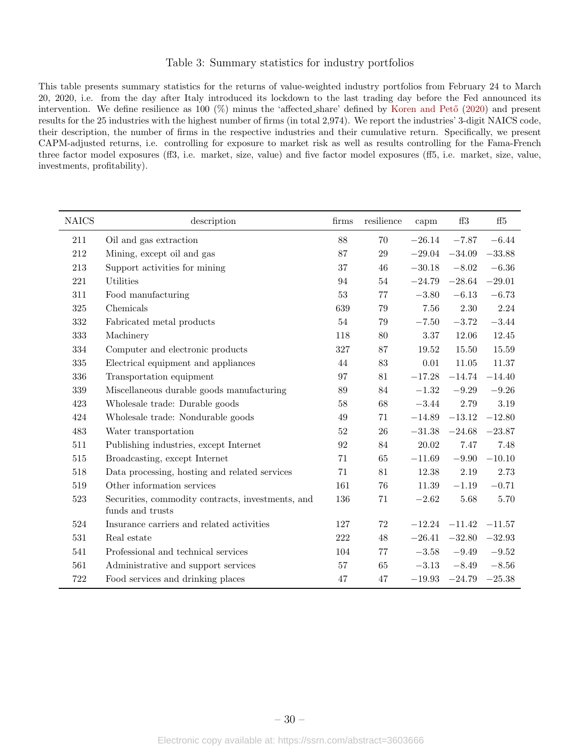#### Table 3: Summary statistics for industry portfolios

<span id="page-30-0"></span>This table presents summary statistics for the returns of value-weighted industry portfolios from February 24 to March 20, 2020, i.e. from the day after Italy introduced its lockdown to the last trading day before the Fed announced its intervention. We define resilience as 100  $(\%)$  minus the 'affected share' defined by Koren and Pető [\(2020\)](#page-20-4) and present results for the 25 industries with the highest number of firms (in total 2,974). We report the industries' 3-digit NAICS code, their description, the number of firms in the respective industries and their cumulative return. Specifically, we present CAPM-adjusted returns, i.e. controlling for exposure to market risk as well as results controlling for the Fama-French three factor model exposures (ff3, i.e. market, size, value) and five factor model exposures (ff5, i.e. market, size, value, investments, profitability).

| <b>NAICS</b> | description                                                           | firms   | resilience | capm     | ff3               | $\mathrm{ff}5$ |
|--------------|-----------------------------------------------------------------------|---------|------------|----------|-------------------|----------------|
| 211          | Oil and gas extraction                                                | 88      | 70         | $-26.14$ | $-7.87$           | $-6.44$        |
| 212          | Mining, except oil and gas                                            | 87      | 29         | $-29.04$ | $-34.09$          | $-33.88$       |
| 213          | Support activities for mining                                         | 37      | 46         | $-30.18$ | $-8.02$           | $-6.36\,$      |
| 221          | Utilities                                                             | 94      | 54         | $-24.79$ | $-28.64$          | $-29.01$       |
| 311          | Food manufacturing                                                    | 53      | $77\,$     | $-3.80$  | $-6.13$           | $-6.73$        |
| 325          | Chemicals                                                             | 639     | 79         | 7.56     | 2.30              | 2.24           |
| 332          | Fabricated metal products                                             | 54      | 79         | $-7.50$  | $-3.72$           | $-3.44$        |
| 333          | Machinery                                                             | 118     | 80         | 3.37     | 12.06             | 12.45          |
| 334          | Computer and electronic products                                      | 327     | 87         | 19.52    | 15.50             | 15.59          |
| 335          | Electrical equipment and appliances                                   | 44      | 83         | 0.01     | 11.05             | 11.37          |
| 336          | Transportation equipment                                              | 97      | 81         | $-17.28$ | $-14.74$          | $-14.40$       |
| $339\,$      | Miscellaneous durable goods manufacturing                             | 89      | 84         | $-1.32$  | $-9.29$           | $\!-9.26\!$    |
| 423          | Wholesale trade: Durable goods                                        | 58      | $68\,$     | $-3.44$  | $2.79\,$          | $3.19\,$       |
| 424          | Wholesale trade: Nondurable goods                                     | 49      | 71         | $-14.89$ | $-13.12$          | $-12.80$       |
| 483          | Water transportation                                                  | 52      | 26         | $-31.38$ | $-24.68$          | $-23.87$       |
| 511          | Publishing industries, except Internet                                | 92      | 84         | 20.02    | 7.47              | 7.48           |
| 515          | Broadcasting, except Internet                                         | 71      | 65         | $-11.69$ | $-9.90$           | $-10.10$       |
| 518          | Data processing, hosting and related services                         | 71      | 81         | 12.38    | $2.19\,$          | 2.73           |
| 519          | Other information services                                            | 161     | 76         | 11.39    | $-1.19$           | $-0.71$        |
| 523          | Securities, commodity contracts, investments, and<br>funds and trusts | 136     | 71         | $-2.62$  | 5.68              | 5.70           |
| 524          | Insurance carriers and related activities                             | 127     | $72\,$     |          | $-12.24$ $-11.42$ | $-11.57$       |
| $531\,$      | Real estate                                                           | $222\,$ | 48         | $-26.41$ | $-32.80$          | $-32.93$       |
| 541          | Professional and technical services                                   | 104     | 77         | $-3.58$  | $-9.49$           | $\!-9.52\!$    |
| 561          | Administrative and support services                                   | $57\,$  | 65         | $-3.13$  | $-8.49$           | $-8.56$        |
| 722          | Food services and drinking places                                     | 47      | 47         | $-19.93$ | $-24.79$          | $-25.38$       |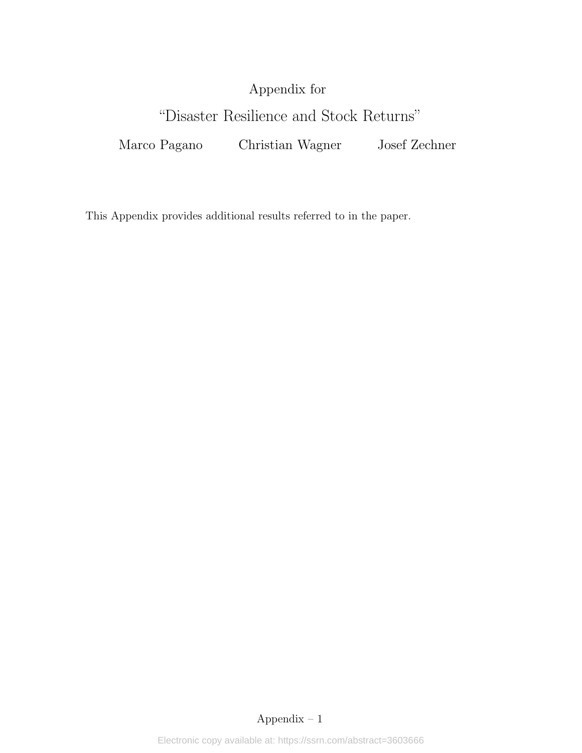# Appendix for

# "Disaster Resilience and Stock Returns"

Marco Pagano Christian Wagner Josef Zechner

This Appendix provides additional results referred to in the paper.

## Appendix – 1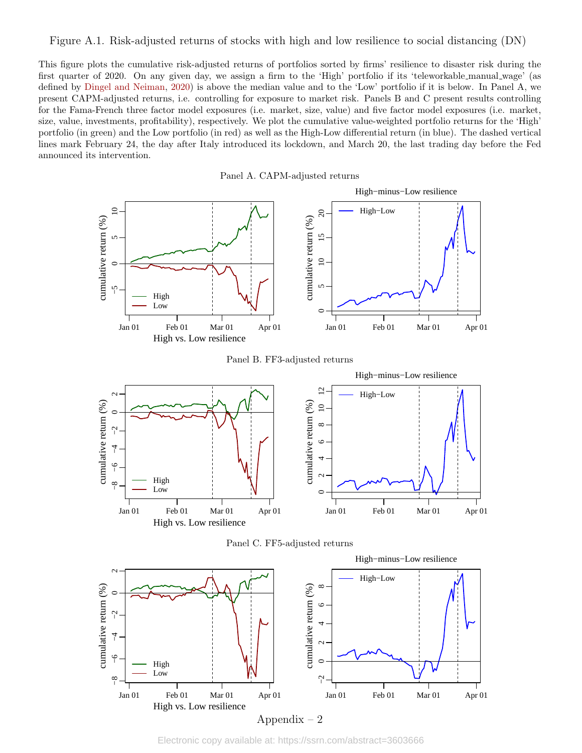#### <span id="page-32-0"></span>Figure A.1. Risk-adjusted returns of stocks with high and low resilience to social distancing (DN)

This figure plots the cumulative risk-adjusted returns of portfolios sorted by firms' resilience to disaster risk during the first quarter of 2020. On any given day, we assign a firm to the 'High' portfolio if its 'teleworkable manual wage' (as defined by [Dingel and Neiman,](#page-20-2) [2020\)](#page-20-2) is above the median value and to the 'Low' portfolio if it is below. In Panel A, we present CAPM-adjusted returns, i.e. controlling for exposure to market risk. Panels B and C present results controlling for the Fama-French three factor model exposures (i.e. market, size, value) and five factor model exposures (i.e. market, size, value, investments, profitability), respectively. We plot the cumulative value-weighted portfolio returns for the 'High' portfolio (in green) and the Low portfolio (in red) as well as the High-Low differential return (in blue). The dashed vertical lines mark February 24, the day after Italy introduced its lockdown, and March 20, the last trading day before the Fed announced its intervention.







Electronic copy available at: https://ssrn.com/abstract=3603666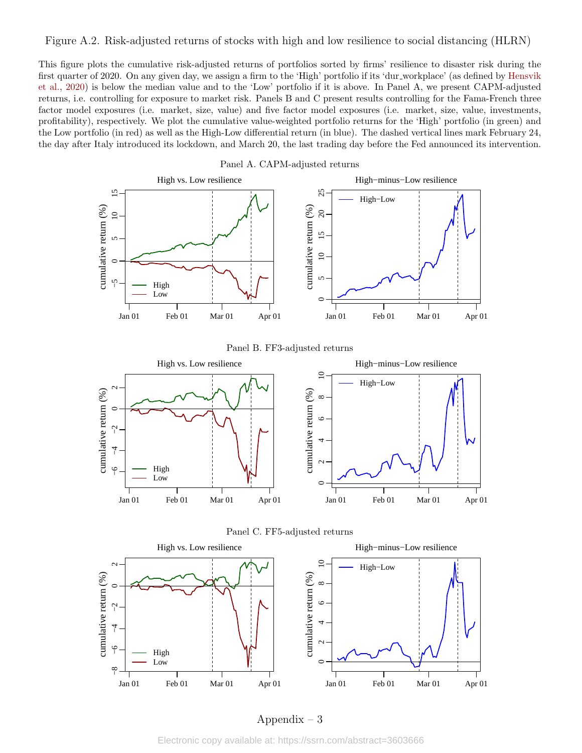#### <span id="page-33-0"></span>Figure A.2. Risk-adjusted returns of stocks with high and low resilience to social distancing (HLRN)

This figure plots the cumulative risk-adjusted returns of portfolios sorted by firms' resilience to disaster risk during the first quarter of 2020. On any given day, we assign a firm to the 'High' portfolio if its 'dur workplace' (as defined by [Hensvik](#page-20-3) [et al.,](#page-20-3) [2020\)](#page-20-3) is below the median value and to the 'Low' portfolio if it is above. In Panel A, we present CAPM-adjusted returns, i.e. controlling for exposure to market risk. Panels B and C present results controlling for the Fama-French three factor model exposures (i.e. market, size, value) and five factor model exposures (i.e. market, size, value, investments, profitability), respectively. We plot the cumulative value-weighted portfolio returns for the 'High' portfolio (in green) and the Low portfolio (in red) as well as the High-Low differential return (in blue). The dashed vertical lines mark February 24, the day after Italy introduced its lockdown, and March 20, the last trading day before the Fed announced its intervention.

Panel A. CAPM-adjusted returns







#### Panel C. FF5-adjusted returns

#### Appendix – 3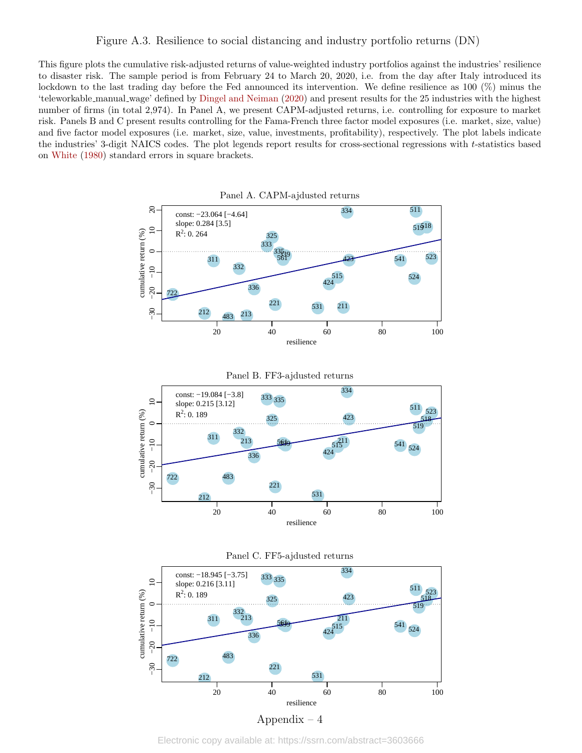#### Figure A.3. Resilience to social distancing and industry portfolio returns (DN)

This figure plots the cumulative risk-adjusted returns of value-weighted industry portfolios against the industries' resilience to disaster risk. The sample period is from February 24 to March 20, 2020, i.e. from the day after Italy introduced its lockdown to the last trading day before the Fed announced its intervention. We define resilience as 100 (%) minus the 'teleworkable manual wage' defined by [Dingel and Neiman](#page-20-2) [\(2020\)](#page-20-2) and present results for the 25 industries with the highest number of firms (in total 2,974). In Panel A, we present CAPM-adjusted returns, i.e. controlling for exposure to market risk. Panels B and C present results controlling for the Fama-French three factor model exposures (i.e. market, size, value) and five factor model exposures (i.e. market, size, value, investments, profitability), respectively. The plot labels indicate the industries' 3-digit NAICS codes. The plot legends report results for cross-sectional regressions with t-statistics based on [White](#page-21-10) [\(1980\)](#page-21-10) standard errors in square brackets.

Panel A. CAPM-ajdusted returns

● 511 ● 334  $\overline{c}$  10 20 const: −23.064 [−4.64] 51918 slope: 0.284 [3.5]  $\overline{10}$ cumulative return (%) cumulative return (%)  $R^2$ : 0. 264 325 325 ● 333  $\frac{335}{56}$ 3539<br>561  $\overline{C}$ 335 ● 523  $\frac{333}{5619}$   $\frac{423}{5619}$ 339 ● 541 311 561<sup>7</sup> 423 332  $-10$ −30 −20 −10 ● 515 424 ● 524  $\frac{122}{224}$ ● 336  $-20$ 722 ● 221 ● ● ● 531 211  $-30$ 212 ● 213 483 483 20 40 60 80 100 resilience Panel B. FF3-ajdusted returns







Electronic copy available at: https://ssrn.com/abstract=3603666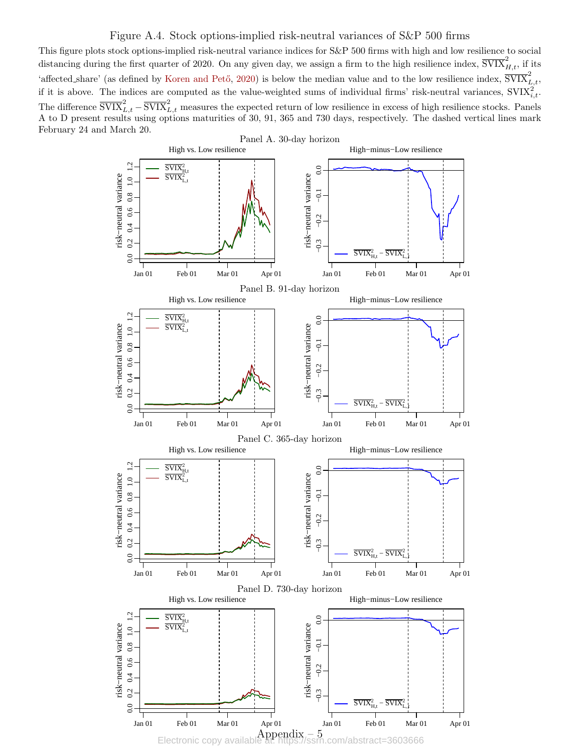#### <span id="page-35-0"></span>Figure A.4. Stock options-implied risk-neutral variances of S&P 500 firms

This figure plots stock options-implied risk-neutral variance indices for S&P 500 firms with high and low resilience to social distancing during the first quarter of 2020. On any given day, we assign a firm to the high resilience index,  $\overline{\text{SVIX}}_{H,t}^2$ , if its 'affected share' (as defined by Koren and Pető, [2020\)](#page-20-4) is below the median value and to the low resilience index,  $\overline{\text{SVIX}}_{L,t}^2$ , if it is above. The indices are computed as the value-weighted sums of individual firms' risk-neutral variances,  $SVIX_{i,t}^2$ . The difference  $\overline{\text{SVIX}}_{L,t}^2 - \overline{\text{SVIX}}_{L,t}^2$  measures the expected return of low resilience in excess of high resilience stocks. Panels A to D present results using options maturities of 30, 91, 365 and 730 days, respectively. The dashed vertical lines mark February 24 and March 20.

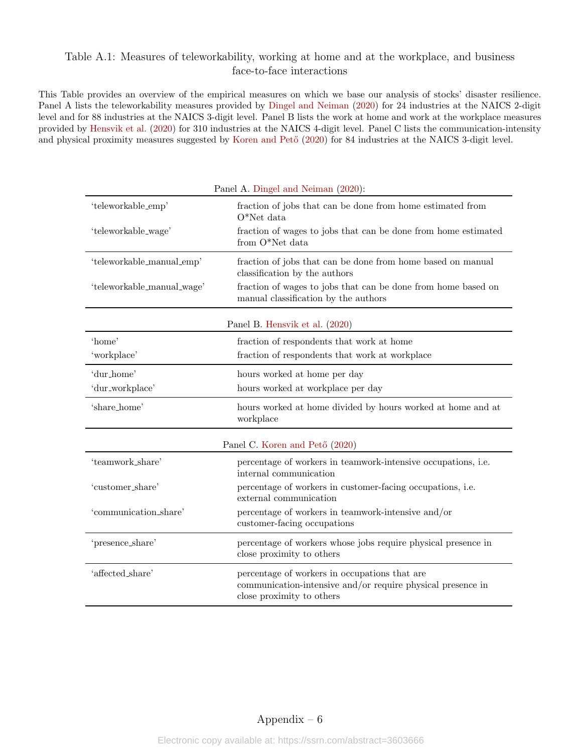### <span id="page-36-0"></span>Table A.1: Measures of teleworkability, working at home and at the workplace, and business face-to-face interactions

This Table provides an overview of the empirical measures on which we base our analysis of stocks' disaster resilience. Panel A lists the teleworkability measures provided by [Dingel and Neiman](#page-20-2) [\(2020\)](#page-20-2) for 24 industries at the NAICS 2-digit level and for 88 industries at the NAICS 3-digit level. Panel B lists the work at home and work at the workplace measures provided by [Hensvik et al.](#page-20-3) [\(2020\)](#page-20-3) for 310 industries at the NAICS 4-digit level. Panel C lists the communication-intensity and physical proximity measures suggested by Koren and Pető [\(2020\)](#page-20-4) for 84 industries at the NAICS 3-digit level.

| Panel A. Dingel and Neiman (2020): |                                                                                                                                           |  |  |  |  |
|------------------------------------|-------------------------------------------------------------------------------------------------------------------------------------------|--|--|--|--|
| 'teleworkable_emp'                 | fraction of jobs that can be done from home estimated from<br>$O^*$ Net data                                                              |  |  |  |  |
| 'teleworkable_wage'                | fraction of wages to jobs that can be done from home estimated<br>from O*Net data                                                         |  |  |  |  |
| 'teleworkable_manual_emp'          | fraction of jobs that can be done from home based on manual<br>classification by the authors                                              |  |  |  |  |
| 'teleworkable_manual_wage'         | fraction of wages to jobs that can be done from home based on<br>manual classification by the authors                                     |  |  |  |  |
|                                    | Panel B. Hensvik et al. (2020)                                                                                                            |  |  |  |  |
| 'home'                             | fraction of respondents that work at home                                                                                                 |  |  |  |  |
| 'workplace'                        | fraction of respondents that work at workplace                                                                                            |  |  |  |  |
| 'dur_home'                         | hours worked at home per day                                                                                                              |  |  |  |  |
| 'dur_workplace'                    | hours worked at workplace per day                                                                                                         |  |  |  |  |
| 'share_home'                       | hours worked at home divided by hours worked at home and at<br>workplace                                                                  |  |  |  |  |
|                                    | Panel C. Koren and Pető (2020)                                                                                                            |  |  |  |  |
| 'teamwork_share'                   | percentage of workers in teamwork-intensive occupations, i.e.<br>internal communication                                                   |  |  |  |  |
| 'customer_share'                   | percentage of workers in customer-facing occupations, i.e.<br>external communication                                                      |  |  |  |  |
| 'communication_share'              | percentage of workers in teamwork-intensive and/or<br>customer-facing occupations                                                         |  |  |  |  |
| 'presence_share'                   | percentage of workers whose jobs require physical presence in<br>close proximity to others                                                |  |  |  |  |
| 'affected_share'                   | percentage of workers in occupations that are<br>communication-intensive and/or require physical presence in<br>close proximity to others |  |  |  |  |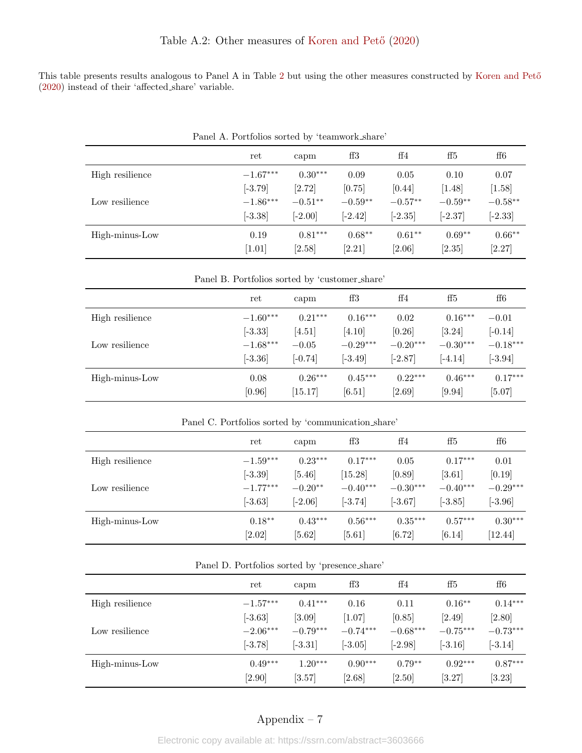<span id="page-37-0"></span>This table presents results analogous to Panel A in Table [2](#page-29-0) but using the other measures constructed by Koren and Pető [\(2020\)](#page-20-4) instead of their 'affected share' variable.

|                 | $\mathbf{r}$ and $\mathbf{r}$ is a creditor for $\mathbf{r}$ of $\mathbf{r}$ and $\mathbf{r}$ are common set $\mathbf{r}$ |           |           |           |           |              |
|-----------------|---------------------------------------------------------------------------------------------------------------------------|-----------|-----------|-----------|-----------|--------------|
|                 | ret                                                                                                                       | capm      | ff3       | ff4       | ff5       | $_{\rm ff6}$ |
| High resilience | $-1.67***$                                                                                                                | $0.30***$ | 0.09      | 0.05      | 0.10      | 0.07         |
|                 | $[-3.79]$                                                                                                                 | [2.72]    | [0.75]    | [0.44]    | [1.48]    | $[1.58]$     |
| Low resilience  | $-1.86***$                                                                                                                | $-0.51**$ | $-0.59**$ | $-0.57**$ | $-0.59**$ | $-0.58**$    |
|                 | $[-3.38]$                                                                                                                 | $[-2.00]$ | $[-2.42]$ | $[-2.35]$ | $[-2.37]$ | $[-2.33]$    |
| High-minus-Low  | 0.19                                                                                                                      | $0.81***$ | $0.68**$  | $0.61**$  | $0.69**$  | $0.66**$     |
|                 | [1.01]                                                                                                                    | [2.58]    | [2.21]    | [2.06]    | [2.35]    | [2.27]       |

Panel A. Portfolios sorted by 'teamwork share'

Panel B. Portfolios sorted by 'customer share'

|                 | ret        | capm      | ff3        | ff4        | ff5        | $_{\rm ff6}$ |
|-----------------|------------|-----------|------------|------------|------------|--------------|
| High resilience | $-1.60***$ | $0.21***$ | $0.16***$  | 0.02       | $0.16***$  | $-0.01$      |
|                 | $[-3.33]$  | [4.51]    | [4.10]     | [0.26]     | [3.24]     | $[-0.14]$    |
| Low resilience  | $-1.68***$ | $-0.05$   | $-0.29***$ | $-0.20***$ | $-0.30***$ | $-0.18***$   |
|                 | $[-3.36]$  | $[-0.74]$ | $[-3.49]$  | $[-2.87]$  | $[-4.14]$  | $[-3.94]$    |
| High-minus-Low  | 0.08       | $0.26***$ | $0.45***$  | $0.22***$  | $0.46***$  | $0.17***$    |
|                 | [0.96]     | [15.17]   | [6.51]     | [2.69]     | [9.94]     | $[5.07]$     |

Panel C. Portfolios sorted by 'communication share'

|                 | ret        | capm      | ff3        | ff4        | ff5        | $_{\rm ff6}$ |
|-----------------|------------|-----------|------------|------------|------------|--------------|
| High resilience | $-1.59***$ | $0.23***$ | $0.17***$  | 0.05       | $0.17***$  | 0.01         |
|                 | $[-3.39]$  | $[5.46]$  | [15.28]    | [0.89]     | $[3.61]$   | [0.19]       |
| Low resilience  | $-1.77***$ | $-0.20**$ | $-0.40***$ | $-0.30***$ | $-0.40***$ | $-0.29***$   |
|                 | $[-3.63]$  | $[-2.06]$ | $[-3.74]$  | $[-3.67]$  | $[-3.85]$  | $[-3.96]$    |
| High-minus-Low  | $0.18**$   | $0.43***$ | $0.56***$  | $0.35***$  | $0.57***$  | $0.30***$    |
|                 | $[2.02]$   | [5.62]    | $[5.61]$   | [6.72]     | [6.14]     | [12.44]      |

| Panel D. Portfolios sorted by 'presence_share' |  |  |
|------------------------------------------------|--|--|
|------------------------------------------------|--|--|

|                 | ret        | capm       | ff3        | ff4        | ff5        | ff6        |
|-----------------|------------|------------|------------|------------|------------|------------|
| High resilience | $-1.57***$ | $0.41***$  | 0.16       | 0.11       | $0.16**$   | $0.14***$  |
|                 | $[-3.63]$  | $[3.09]$   | [1.07]     | [0.85]     | [2.49]     | [2.80]     |
| Low resilience  | $-2.06***$ | $-0.79***$ | $-0.74***$ | $-0.68***$ | $-0.75***$ | $-0.73***$ |
|                 | $[-3.78]$  | $[-3.31]$  | $[-3.05]$  | $[-2.98]$  | $[-3.16]$  | $[-3.14]$  |
| High-minus-Low  | $0.49***$  | $1.20***$  | $0.90***$  | $0.79**$   | $0.92***$  | $0.87***$  |
|                 | $[2.90]$   | [3.57]     | $[2.68]$   | [2.50]     | [3.27]     | [3.23]     |

## Appendix – 7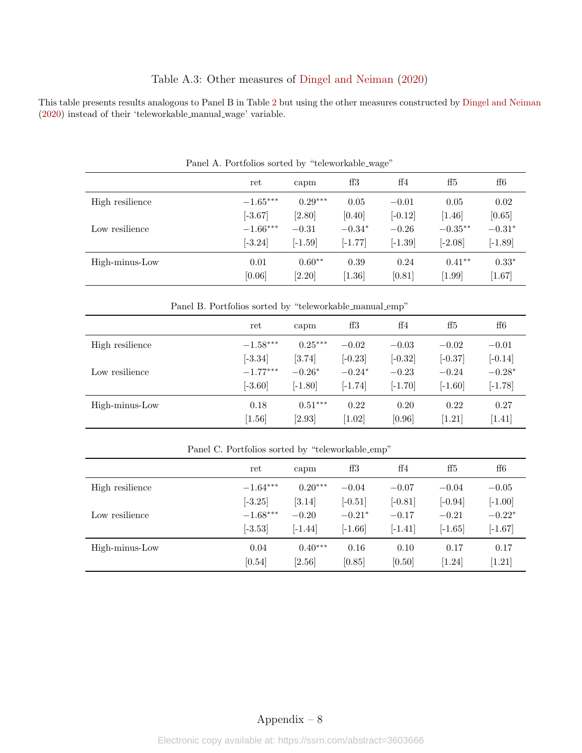## Table A.3: Other measures of [Dingel and Neiman](#page-20-2) [\(2020\)](#page-20-2)

<span id="page-38-0"></span>This table presents results analogous to Panel B in Table [2](#page-29-0) but using the other measures constructed by [Dingel and Neiman](#page-20-2) [\(2020\)](#page-20-2) instead of their 'teleworkable manual wage' variable.

| <b>I</b> aller II. I ortaotion noticed by the workward-wage |                |                      |                  |                |                    |                   |  |
|-------------------------------------------------------------|----------------|----------------------|------------------|----------------|--------------------|-------------------|--|
|                                                             | ret            | capm                 | ff3              | ff4            | ff5                | ff6               |  |
| High resilience                                             | $-1.65***$     | $0.29***$            | 0.05             | $-0.01$        | 0.05               | 0.02              |  |
|                                                             | $[-3.67]$      | [2.80]               | [0.40]           | $[-0.12]$      | $[1.46]$           | [0.65]            |  |
| Low resilience                                              | $-1.66***$     | $-0.31$              | $-0.34*$         | $-0.26$        | $-0.35**$          | $-0.31*$          |  |
|                                                             | $[-3.24]$      | $[-1.59]$            | $[-1.77]$        | $[-1.39]$      | $[-2.08]$          | $[-1.89]$         |  |
| High-minus-Low                                              | 0.01<br>[0.06] | $0.60**$<br>$[2.20]$ | 0.39<br>$[1.36]$ | 0.24<br>[0.81] | $0.41**$<br>[1.99] | $0.33*$<br>[1.67] |  |

Panel A. Portfolios sorted by "teleworkable wage"

Panel B. Portfolios sorted by "teleworkable manual emp"

|                 | ret        | capm                | ff3       | ff4       | ff5       | $_{\rm ff6}$ |
|-----------------|------------|---------------------|-----------|-----------|-----------|--------------|
| High resilience | $-1.58***$ | $0.25***$           | $-0.02$   | $-0.03$   | $-0.02$   | $-0.01$      |
|                 | $[-3.34]$  | $\left[3.74\right]$ | $[-0.23]$ | $[-0.32]$ | $[-0.37]$ | $[-0.14]$    |
| Low resilience  | $-1.77***$ | $-0.26*$            | $-0.24*$  | $-0.23$   | $-0.24$   | $-0.28*$     |
|                 | $[-3.60]$  | $[-1.80]$           | $[-1.74]$ | $[-1.70]$ | $[-1.60]$ | $[-1.78]$    |
| High-minus-Low  | 0.18       | $0.51***$           | 0.22      | 0.20      | 0.22      | 0.27         |
|                 | $[1.56]$   | [2.93]              | [1.02]    | [0.96]    | [1.21]    | [1.41]       |

|                 | ret        | capm      | ff3       | ff4       | ff5       | $_{\rm ff6}$ |
|-----------------|------------|-----------|-----------|-----------|-----------|--------------|
| High resilience | $-1.64***$ | $0.20***$ | $-0.04$   | $-0.07$   | $-0.04$   | $-0.05$      |
|                 | $[-3.25]$  | [3.14]    | $[-0.51]$ | $[-0.81]$ | $[-0.94]$ | $[-1.00]$    |
| Low resilience  | $-1.68***$ | $-0.20$   | $-0.21*$  | $-0.17$   | $-0.21$   | $-0.22*$     |
|                 | $[-3.53]$  | $[-1.44]$ | $[-1.66]$ | $[-1.41]$ | $[-1.65]$ | $[-1.67]$    |
| High-minus-Low  | 0.04       | $0.40***$ | 0.16      | 0.10      | 0.17      | 0.17         |
|                 | [0.54]     | [2.56]    | [0.85]    | [0.50]    | 1.24      | [1.21]       |

Panel C. Portfolios sorted by "teleworkable emp"

## Appendix – 8